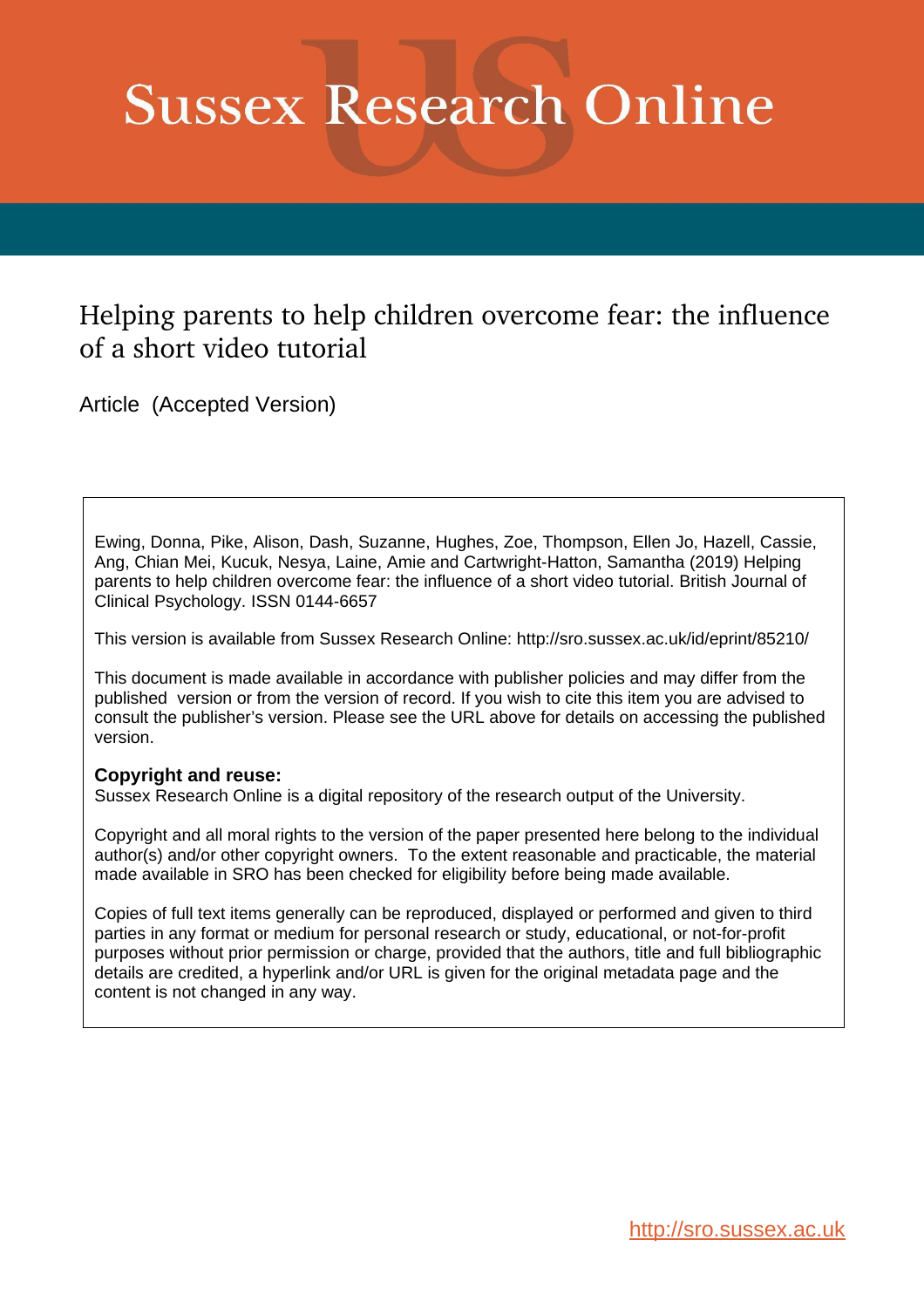# **Sussex Research Online**

# Helping parents to help children overcome fear: the influence of a short video tutorial

Article (Accepted Version)

Ewing, Donna, Pike, Alison, Dash, Suzanne, Hughes, Zoe, Thompson, Ellen Jo, Hazell, Cassie, Ang, Chian Mei, Kucuk, Nesya, Laine, Amie and Cartwright-Hatton, Samantha (2019) Helping parents to help children overcome fear: the influence of a short video tutorial. British Journal of Clinical Psychology. ISSN 0144-6657

This version is available from Sussex Research Online: http://sro.sussex.ac.uk/id/eprint/85210/

This document is made available in accordance with publisher policies and may differ from the published version or from the version of record. If you wish to cite this item you are advised to consult the publisher's version. Please see the URL above for details on accessing the published version.

#### **Copyright and reuse:**

Sussex Research Online is a digital repository of the research output of the University.

Copyright and all moral rights to the version of the paper presented here belong to the individual author(s) and/or other copyright owners. To the extent reasonable and practicable, the material made available in SRO has been checked for eligibility before being made available.

Copies of full text items generally can be reproduced, displayed or performed and given to third parties in any format or medium for personal research or study, educational, or not-for-profit purposes without prior permission or charge, provided that the authors, title and full bibliographic details are credited, a hyperlink and/or URL is given for the original metadata page and the content is not changed in any way.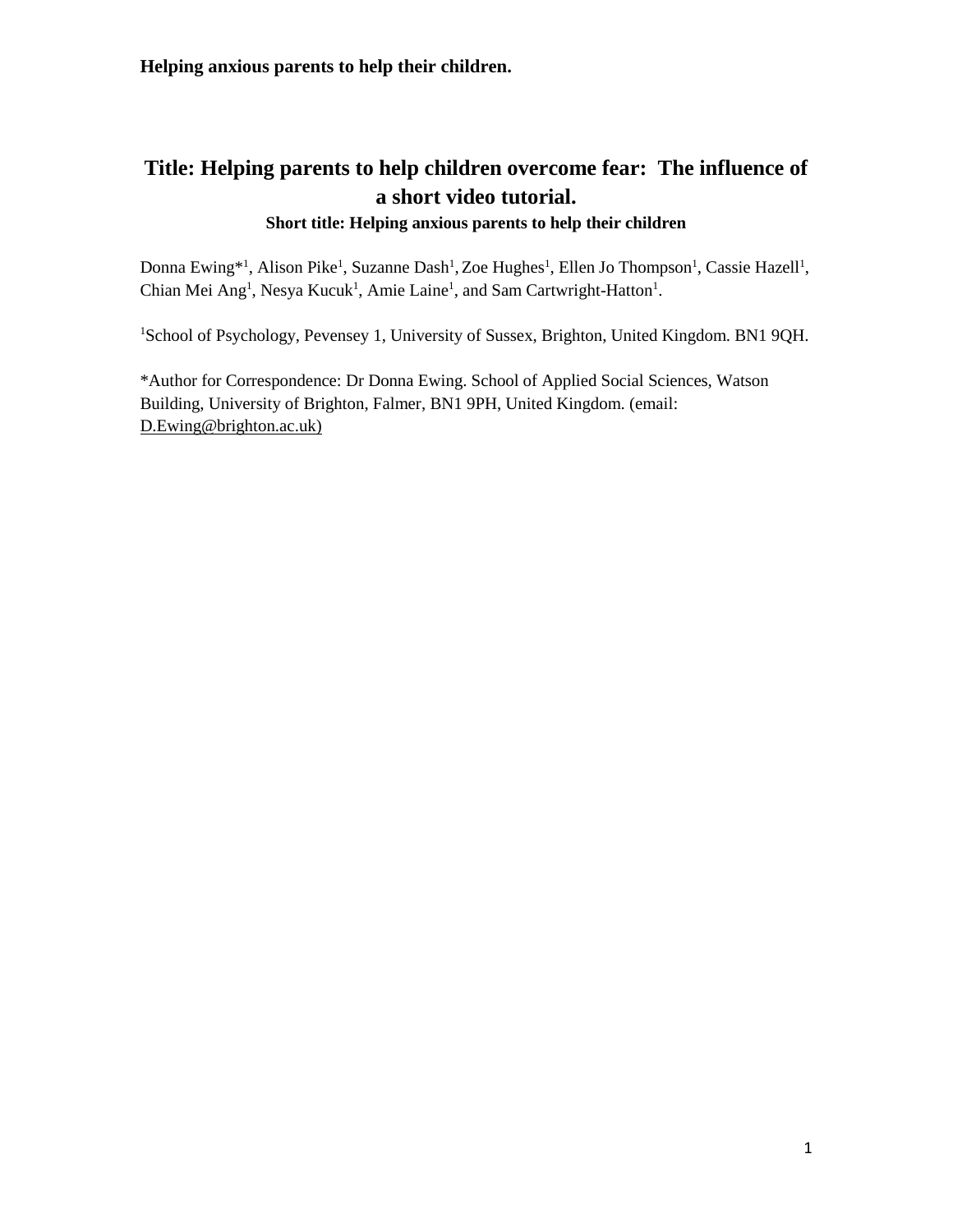# **Title: Helping parents to help children overcome fear: The influence of a short video tutorial.**

## **Short title: Helping anxious parents to help their children**

Donna Ewing\*<sup>1</sup>, Alison Pike<sup>1</sup>, Suzanne Dash<sup>1</sup>, Zoe Hughes<sup>1</sup>, Ellen Jo Thompson<sup>1</sup>, Cassie Hazell<sup>1</sup>, Chian Mei Ang<sup>1</sup>, Nesya Kucuk<sup>1</sup>, Amie Laine<sup>1</sup>, and Sam Cartwright-Hatton<sup>1</sup>.

<sup>1</sup>School of Psychology, Pevensey 1, University of Sussex, Brighton, United Kingdom. BN1 9QH.

\*Author for Correspondence: Dr Donna Ewing. School of Applied Social Sciences, Watson Building, University of Brighton, Falmer, BN1 9PH, United Kingdom. (email: [D.Ewing@brighton.ac.uk\)](mailto:D.Ewing@brighton.ac.uk)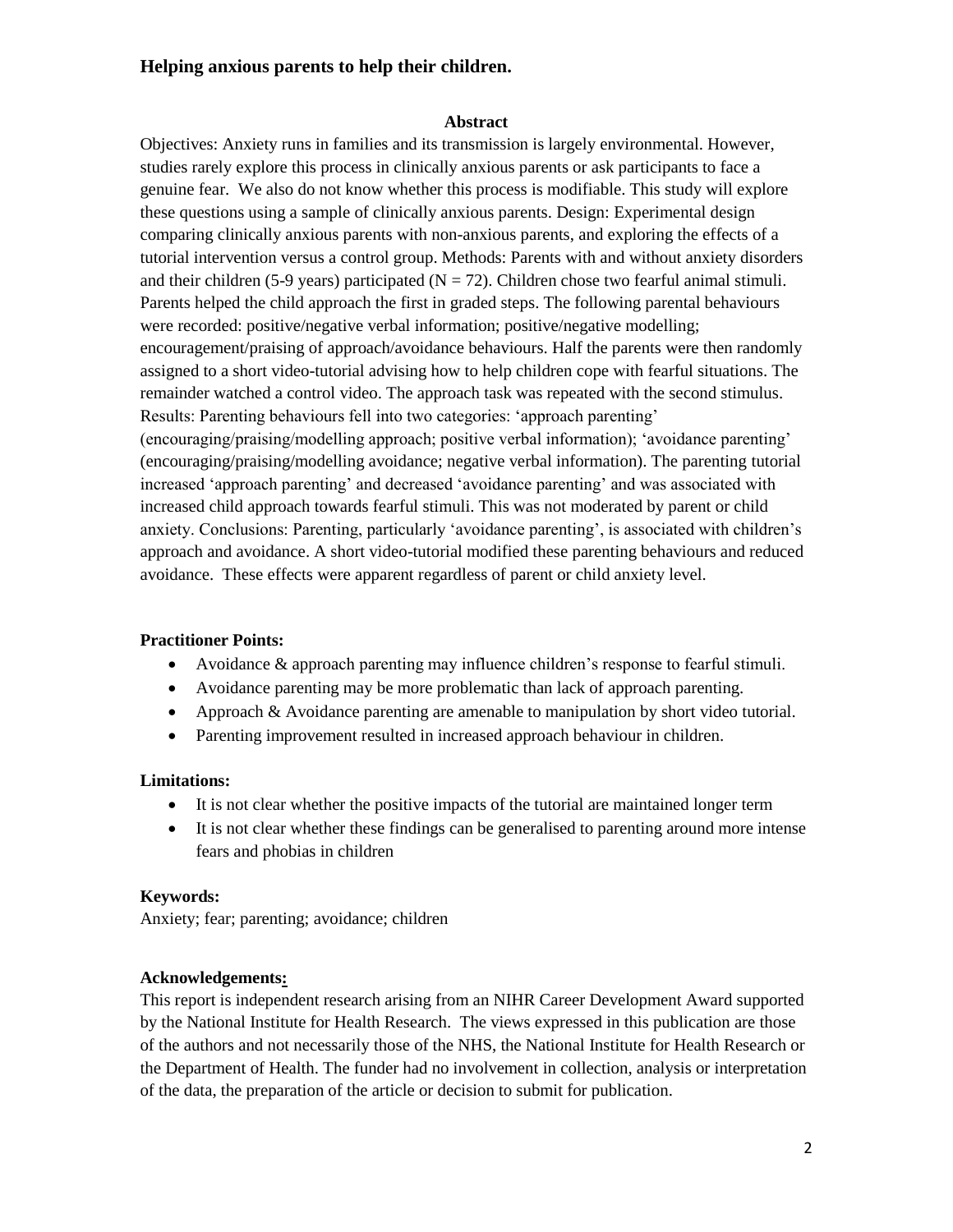#### **Abstract**

Objectives: Anxiety runs in families and its transmission is largely environmental. However, studies rarely explore this process in clinically anxious parents or ask participants to face a genuine fear. We also do not know whether this process is modifiable. This study will explore these questions using a sample of clinically anxious parents. Design: Experimental design comparing clinically anxious parents with non-anxious parents, and exploring the effects of a tutorial intervention versus a control group. Methods: Parents with and without anxiety disorders and their children (5-9 years) participated ( $N = 72$ ). Children chose two fearful animal stimuli. Parents helped the child approach the first in graded steps. The following parental behaviours were recorded: positive/negative verbal information; positive/negative modelling; encouragement/praising of approach/avoidance behaviours. Half the parents were then randomly assigned to a short video-tutorial advising how to help children cope with fearful situations. The remainder watched a control video. The approach task was repeated with the second stimulus. Results: Parenting behaviours fell into two categories: 'approach parenting' (encouraging/praising/modelling approach; positive verbal information); 'avoidance parenting' (encouraging/praising/modelling avoidance; negative verbal information). The parenting tutorial increased 'approach parenting' and decreased 'avoidance parenting' and was associated with increased child approach towards fearful stimuli. This was not moderated by parent or child anxiety. Conclusions: Parenting, particularly 'avoidance parenting', is associated with children's approach and avoidance. A short video-tutorial modified these parenting behaviours and reduced avoidance. These effects were apparent regardless of parent or child anxiety level.

#### **Practitioner Points:**

- Avoidance & approach parenting may influence children's response to fearful stimuli.
- Avoidance parenting may be more problematic than lack of approach parenting.
- Approach & Avoidance parenting are amenable to manipulation by short video tutorial.
- Parenting improvement resulted in increased approach behaviour in children.

#### **Limitations:**

- It is not clear whether the positive impacts of the tutorial are maintained longer term
- It is not clear whether these findings can be generalised to parenting around more intense fears and phobias in children

#### **Keywords:**

Anxiety; fear; parenting; avoidance; children

#### **Acknowledgements:**

This report is independent research arising from an NIHR Career Development Award supported by the National Institute for Health Research. The views expressed in this publication are those of the authors and not necessarily those of the NHS, the National Institute for Health Research or the Department of Health. The funder had no involvement in collection, analysis or interpretation of the data, the preparation of the article or decision to submit for publication.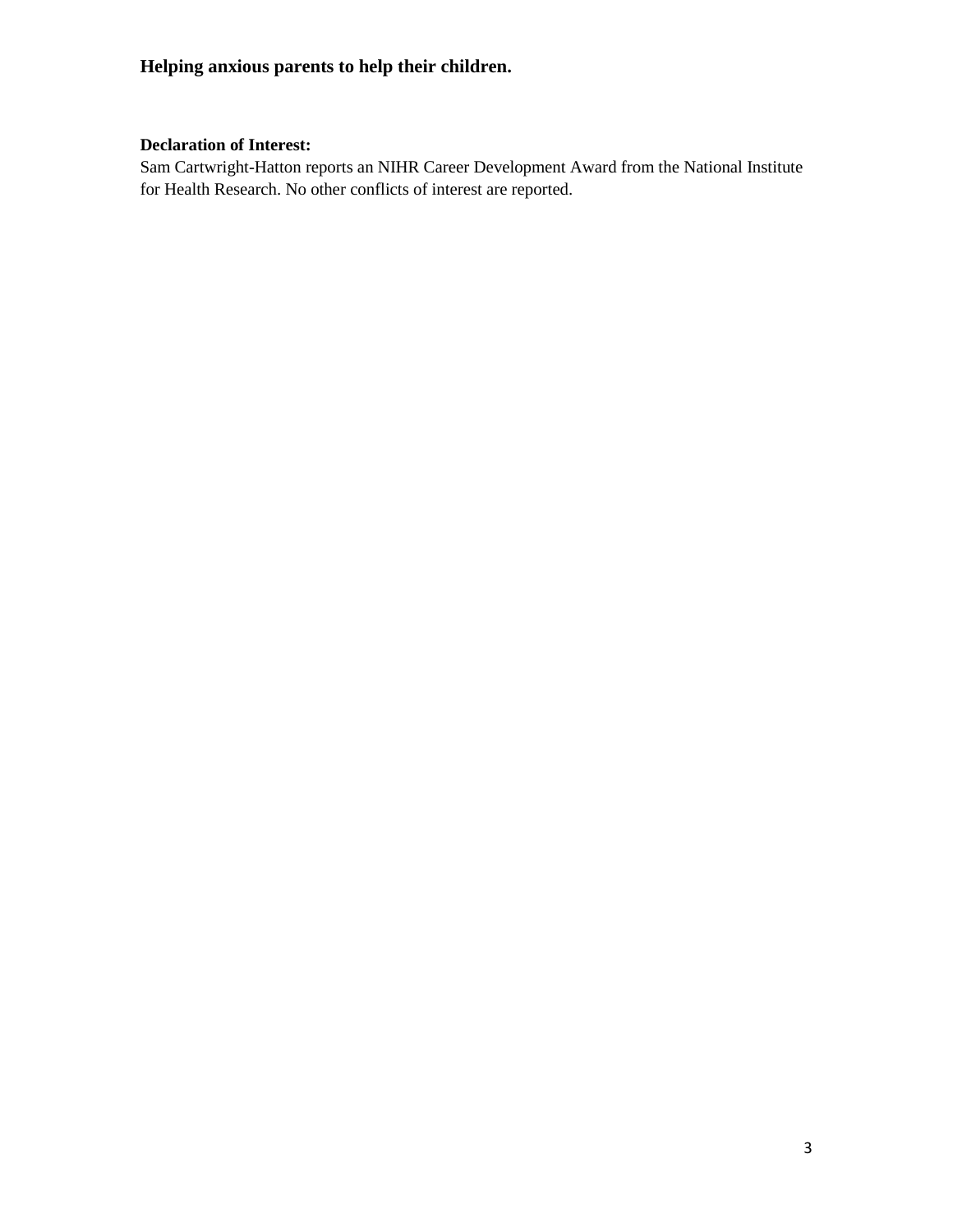#### **Declaration of Interest:**

Sam Cartwright-Hatton reports an NIHR Career Development Award from the National Institute for Health Research. No other conflicts of interest are reported.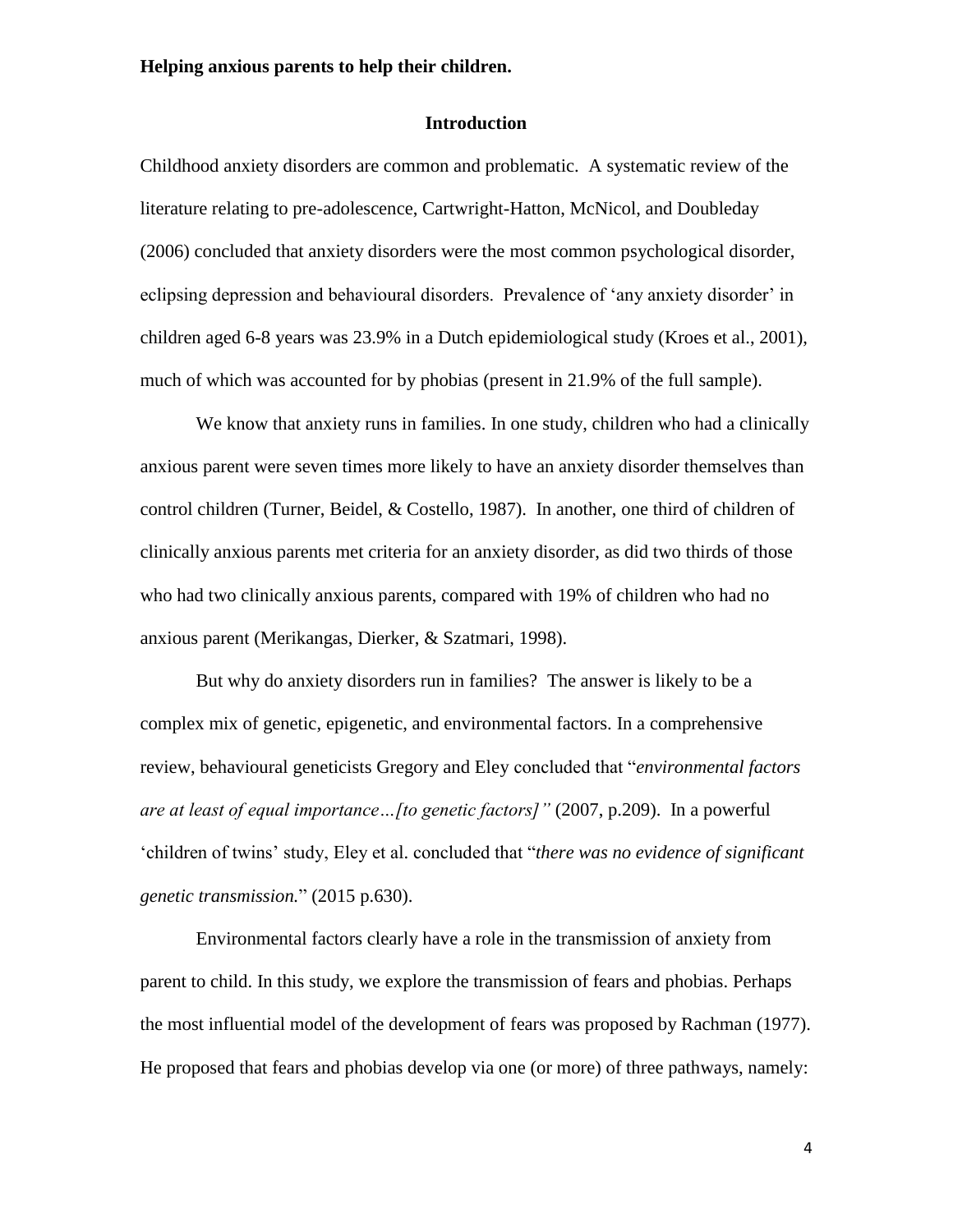#### **Introduction**

Childhood anxiety disorders are common and problematic. A systematic review of the literature relating to pre-adolescence, Cartwright-Hatton, McNicol, and Doubleday (2006) concluded that anxiety disorders were the most common psychological disorder, eclipsing depression and behavioural disorders. Prevalence of 'any anxiety disorder' in children aged 6-8 years was 23.9% in a Dutch epidemiological study (Kroes et al., 2001), much of which was accounted for by phobias (present in 21.9% of the full sample).

We know that anxiety runs in families. In one study, children who had a clinically anxious parent were seven times more likely to have an anxiety disorder themselves than control children (Turner, Beidel, & Costello, 1987). In another, one third of children of clinically anxious parents met criteria for an anxiety disorder, as did two thirds of those who had two clinically anxious parents, compared with 19% of children who had no anxious parent (Merikangas, Dierker, & Szatmari, 1998).

But why do anxiety disorders run in families? The answer is likely to be a complex mix of genetic, epigenetic, and environmental factors. In a comprehensive review, behavioural geneticists Gregory and Eley concluded that "*environmental factors are at least of equal importance…[to genetic factors]"* (2007, p.209). In a powerful 'children of twins' study, Eley et al. concluded that "*there was no evidence of significant genetic transmission.*" (2015 p.630).

Environmental factors clearly have a role in the transmission of anxiety from parent to child. In this study, we explore the transmission of fears and phobias. Perhaps the most influential model of the development of fears was proposed by Rachman (1977). He proposed that fears and phobias develop via one (or more) of three pathways, namely: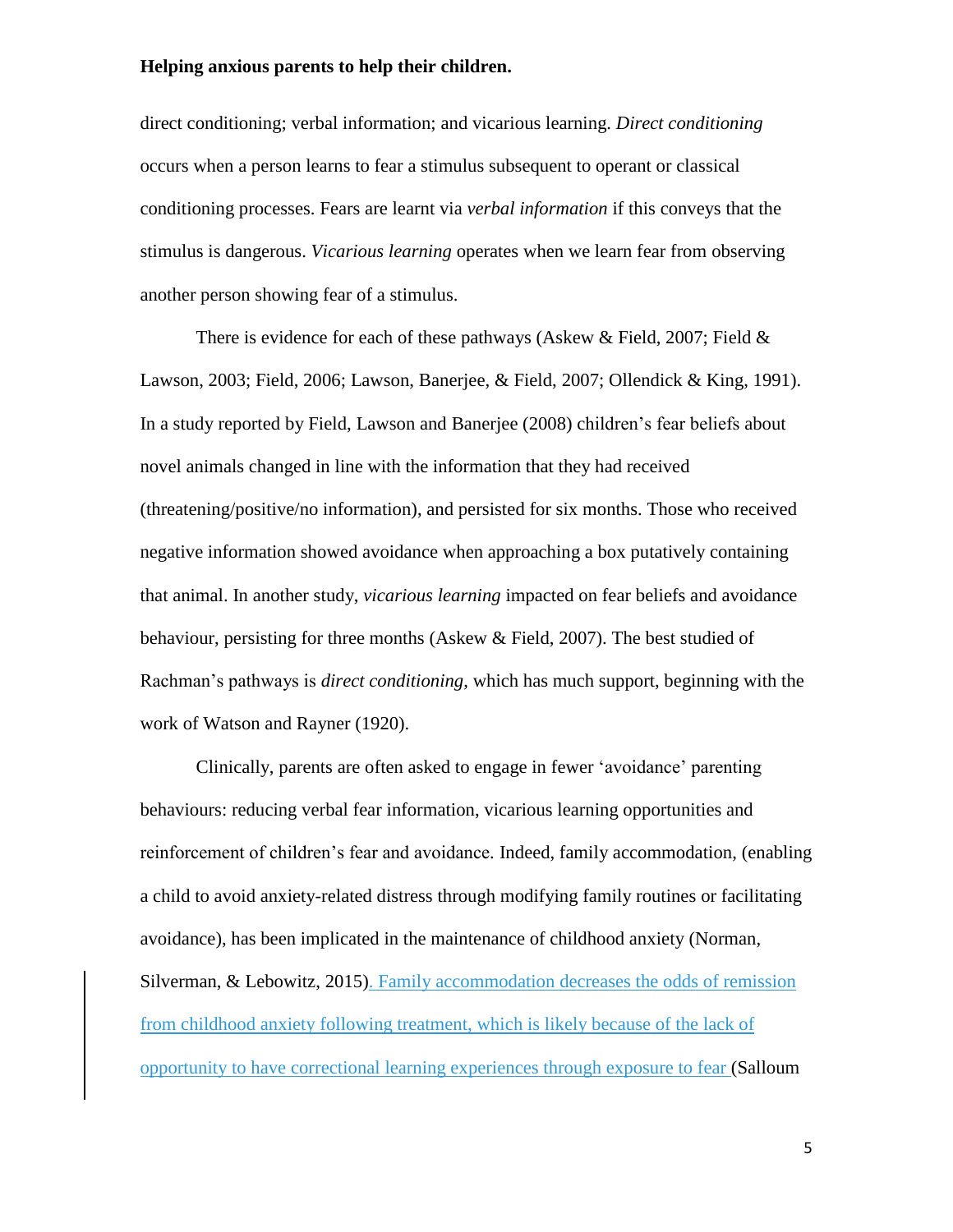direct conditioning; verbal information; and vicarious learning. *Direct conditioning*  occurs when a person learns to fear a stimulus subsequent to operant or classical conditioning processes. Fears are learnt via *verbal information* if this conveys that the stimulus is dangerous. *Vicarious learning* operates when we learn fear from observing another person showing fear of a stimulus.

There is evidence for each of these pathways (Askew & Field, 2007; Field & Lawson, 2003; Field, 2006; Lawson, Banerjee, & Field, 2007; Ollendick & King, 1991). In a study reported by Field, Lawson and Banerjee (2008) children's fear beliefs about novel animals changed in line with the information that they had received (threatening/positive/no information), and persisted for six months. Those who received negative information showed avoidance when approaching a box putatively containing that animal. In another study, *vicarious learning* impacted on fear beliefs and avoidance behaviour, persisting for three months (Askew & Field, 2007). The best studied of Rachman's pathways is *direct conditioning*, which has much support, beginning with the work of Watson and Rayner (1920).

Clinically, parents are often asked to engage in fewer 'avoidance' parenting behaviours: reducing verbal fear information, vicarious learning opportunities and reinforcement of children's fear and avoidance. Indeed, family accommodation, (enabling a child to avoid anxiety-related distress through modifying family routines or facilitating avoidance), has been implicated in the maintenance of childhood anxiety (Norman, Silverman, & Lebowitz, 2015). Family accommodation decreases the odds of remission from childhood anxiety following treatment, which is likely because of the lack of opportunity to have correctional learning experiences through exposure to fear (Salloum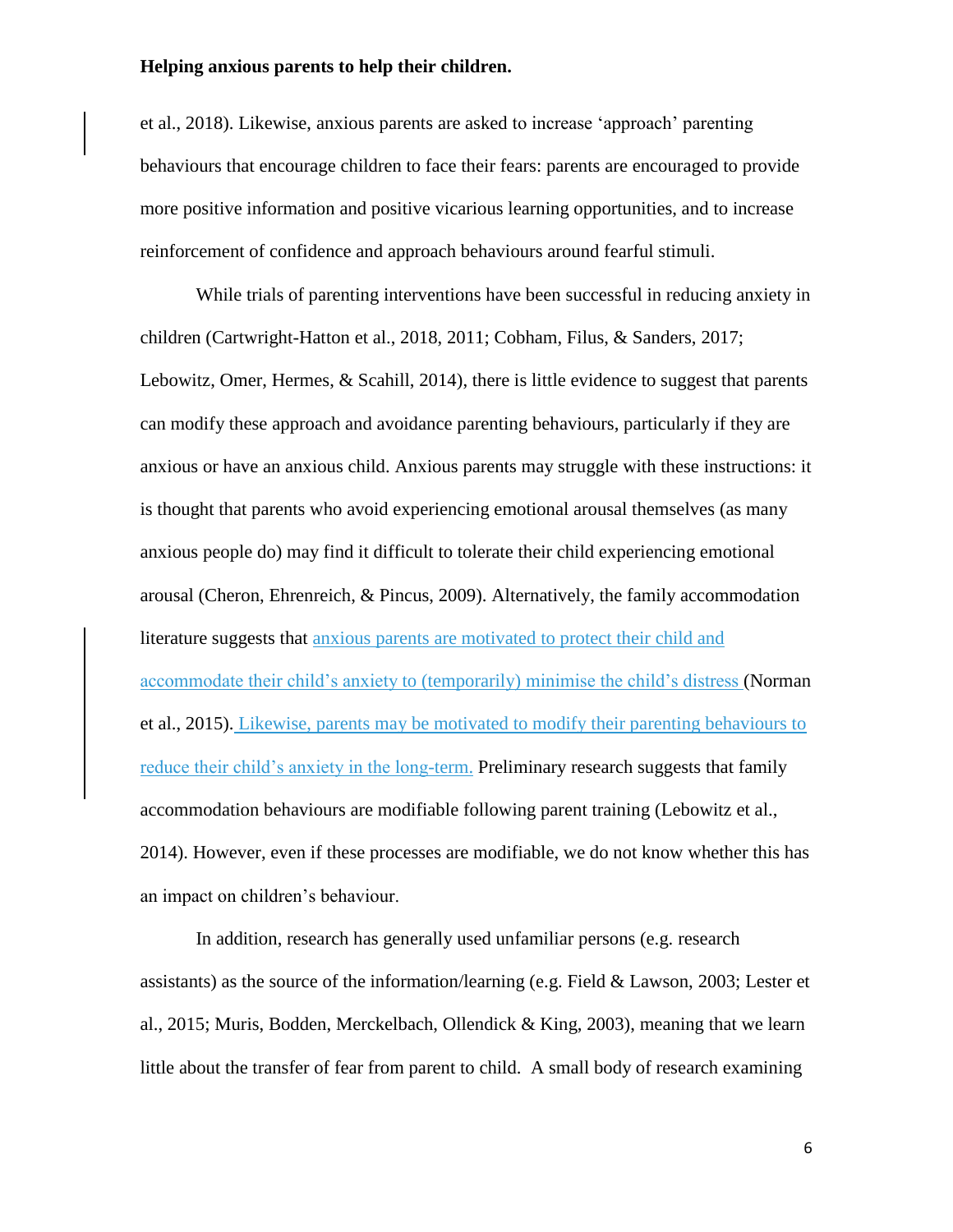et al., 2018). Likewise, anxious parents are asked to increase 'approach' parenting behaviours that encourage children to face their fears: parents are encouraged to provide more positive information and positive vicarious learning opportunities, and to increase reinforcement of confidence and approach behaviours around fearful stimuli.

While trials of parenting interventions have been successful in reducing anxiety in children (Cartwright-Hatton et al., 2018, 2011; Cobham, Filus, & Sanders, 2017; Lebowitz, Omer, Hermes, & Scahill, 2014), there is little evidence to suggest that parents can modify these approach and avoidance parenting behaviours, particularly if they are anxious or have an anxious child. Anxious parents may struggle with these instructions: it is thought that parents who avoid experiencing emotional arousal themselves (as many anxious people do) may find it difficult to tolerate their child experiencing emotional arousal (Cheron, Ehrenreich, & Pincus, 2009). Alternatively, the family accommodation literature suggests that anxious parents are motivated to protect their child and accommodate their child's anxiety to (temporarily) minimise the child's distress (Norman et al., 2015). Likewise, parents may be motivated to modify their parenting behaviours to reduce their child's anxiety in the long-term. Preliminary research suggests that family accommodation behaviours are modifiable following parent training (Lebowitz et al., 2014). However, even if these processes are modifiable, we do not know whether this has an impact on children's behaviour.

In addition, research has generally used unfamiliar persons (e.g. research assistants) as the source of the information/learning (e.g. Field & Lawson, 2003; Lester et al., 2015; Muris, Bodden, Merckelbach, Ollendick & King, 2003), meaning that we learn little about the transfer of fear from parent to child. A small body of research examining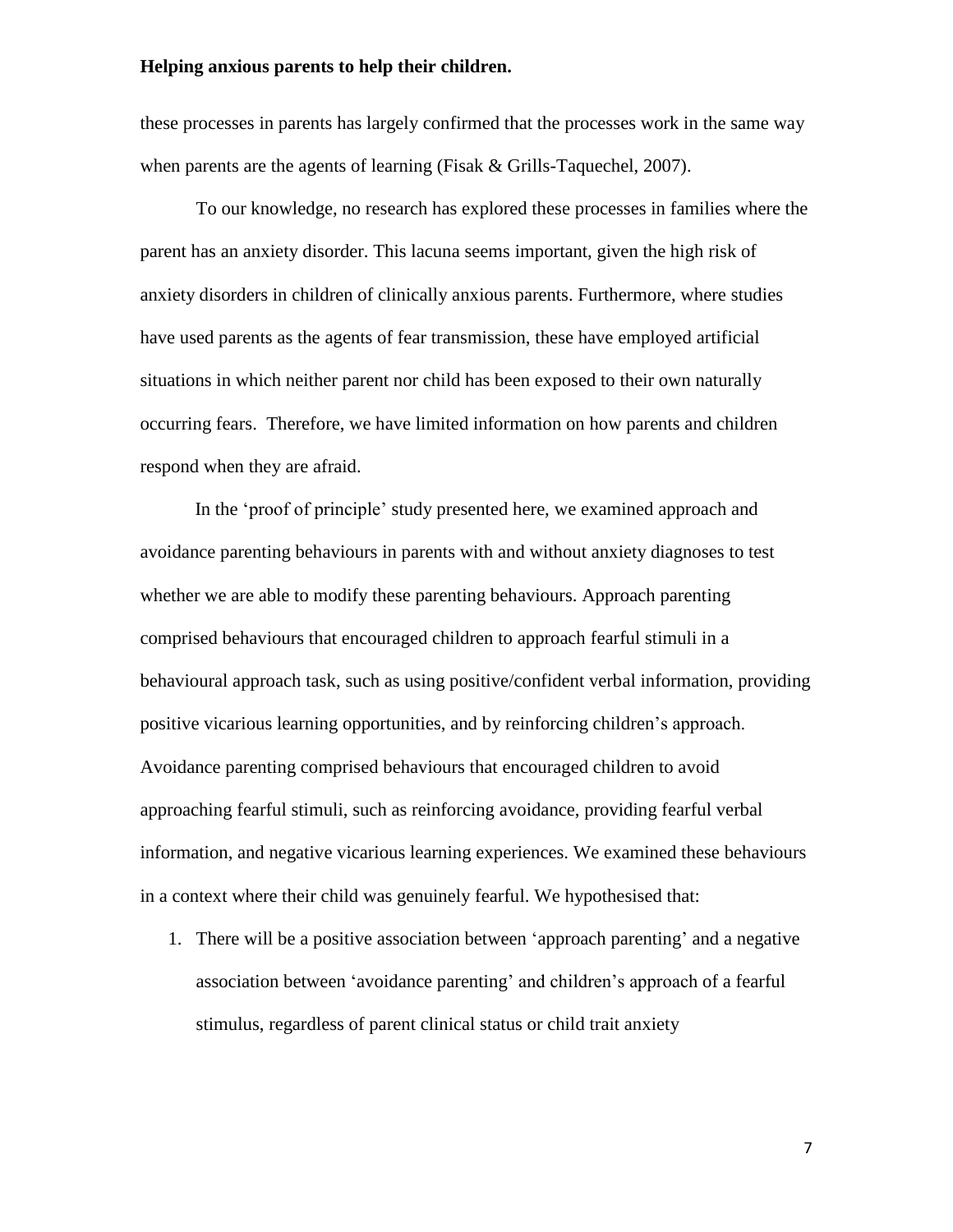these processes in parents has largely confirmed that the processes work in the same way when parents are the agents of learning (Fisak & Grills-Taquechel, 2007).

To our knowledge, no research has explored these processes in families where the parent has an anxiety disorder. This lacuna seems important, given the high risk of anxiety disorders in children of clinically anxious parents. Furthermore, where studies have used parents as the agents of fear transmission, these have employed artificial situations in which neither parent nor child has been exposed to their own naturally occurring fears. Therefore, we have limited information on how parents and children respond when they are afraid.

In the 'proof of principle' study presented here, we examined approach and avoidance parenting behaviours in parents with and without anxiety diagnoses to test whether we are able to modify these parenting behaviours. Approach parenting comprised behaviours that encouraged children to approach fearful stimuli in a behavioural approach task, such as using positive/confident verbal information, providing positive vicarious learning opportunities, and by reinforcing children's approach. Avoidance parenting comprised behaviours that encouraged children to avoid approaching fearful stimuli, such as reinforcing avoidance, providing fearful verbal information, and negative vicarious learning experiences. We examined these behaviours in a context where their child was genuinely fearful. We hypothesised that:

1. There will be a positive association between 'approach parenting' and a negative association between 'avoidance parenting' and children's approach of a fearful stimulus, regardless of parent clinical status or child trait anxiety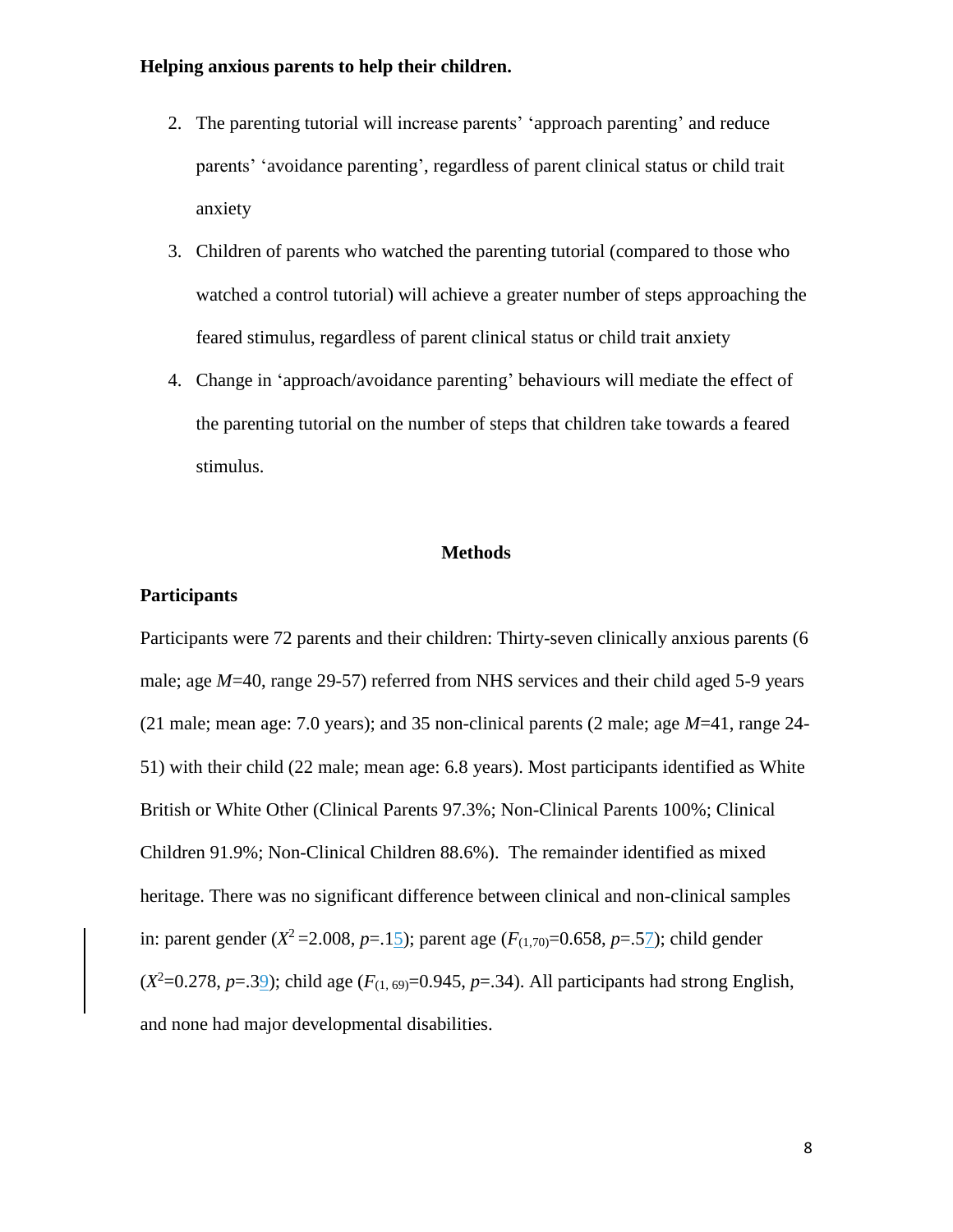- 2. The parenting tutorial will increase parents' 'approach parenting' and reduce parents' 'avoidance parenting', regardless of parent clinical status or child trait anxiety
- 3. Children of parents who watched the parenting tutorial (compared to those who watched a control tutorial) will achieve a greater number of steps approaching the feared stimulus, regardless of parent clinical status or child trait anxiety
- 4. Change in 'approach/avoidance parenting' behaviours will mediate the effect of the parenting tutorial on the number of steps that children take towards a feared stimulus.

#### **Methods**

#### **Participants**

Participants were 72 parents and their children: Thirty-seven clinically anxious parents (6 male; age *M*=40, range 29-57) referred from NHS services and their child aged 5-9 years (21 male; mean age: 7.0 years); and 35 non-clinical parents (2 male; age *M*=41, range 24- 51) with their child (22 male; mean age: 6.8 years). Most participants identified as White British or White Other (Clinical Parents 97.3%; Non-Clinical Parents 100%; Clinical Children 91.9%; Non-Clinical Children 88.6%). The remainder identified as mixed heritage. There was no significant difference between clinical and non-clinical samples in: parent gender ( $X^2 = 2.008$ ,  $p = .15$ ); parent age ( $F_{(1,70)} = 0.658$ ,  $p = .57$ ); child gender  $(X^2=0.278, p=.39)$ ; child age  $(F_{(1, 69)}=0.945, p=.34)$ . All participants had strong English, and none had major developmental disabilities.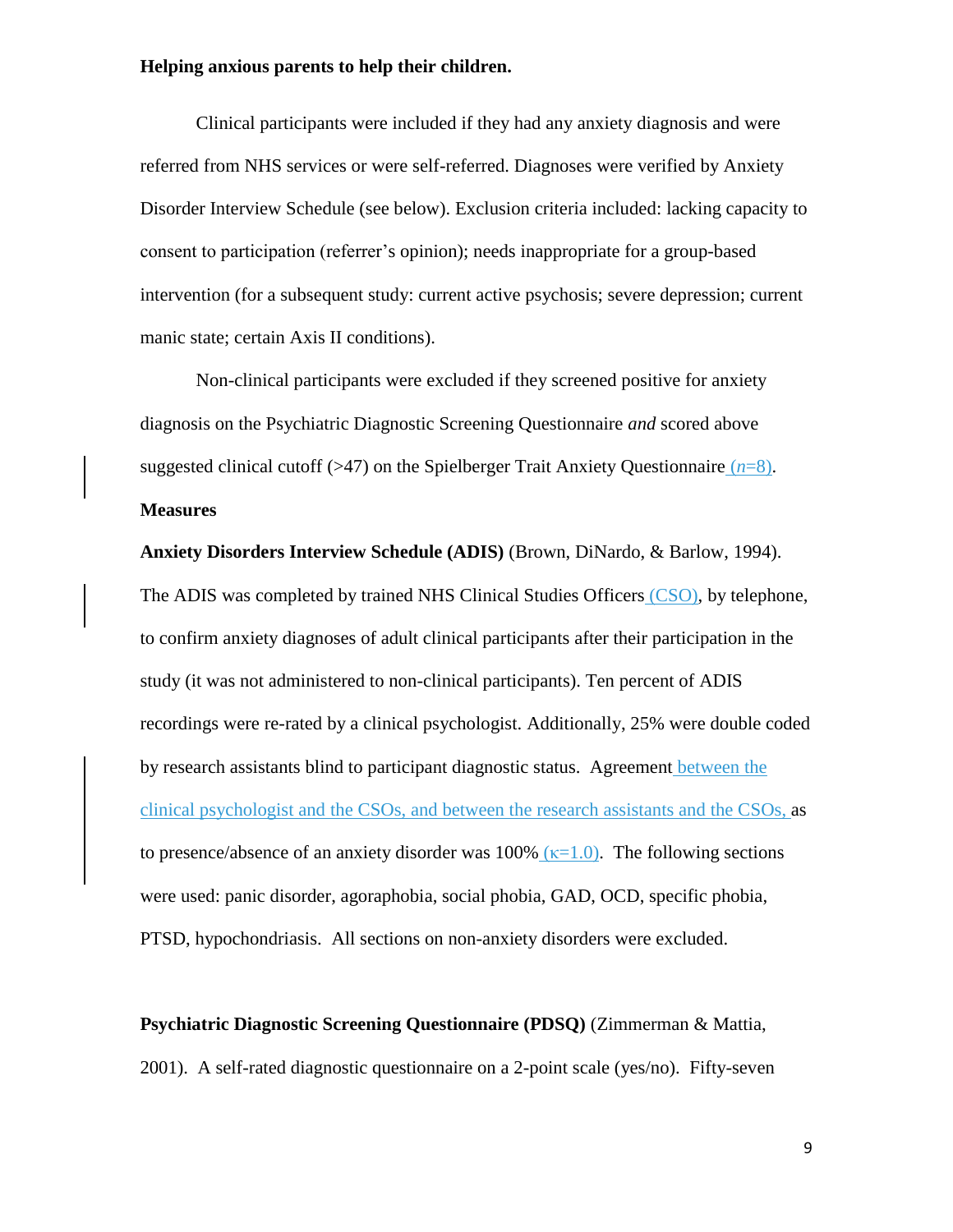Clinical participants were included if they had any anxiety diagnosis and were referred from NHS services or were self-referred. Diagnoses were verified by Anxiety Disorder Interview Schedule (see below). Exclusion criteria included: lacking capacity to consent to participation (referrer's opinion); needs inappropriate for a group-based intervention (for a subsequent study: current active psychosis; severe depression; current manic state; certain Axis II conditions).

Non-clinical participants were excluded if they screened positive for anxiety diagnosis on the Psychiatric Diagnostic Screening Questionnaire *and* scored above suggested clinical cutoff ( $>47$ ) on the Spielberger Trait Anxiety Questionnaire ( $n=8$ ).

#### **Measures**

**Anxiety Disorders Interview Schedule (ADIS)** (Brown, DiNardo, & Barlow, 1994). The ADIS was completed by trained NHS Clinical Studies Officers (CSO), by telephone, to confirm anxiety diagnoses of adult clinical participants after their participation in the study (it was not administered to non-clinical participants). Ten percent of ADIS recordings were re-rated by a clinical psychologist. Additionally, 25% were double coded by research assistants blind to participant diagnostic status. Agreement between the clinical psychologist and the CSOs, and between the research assistants and the CSOs, as to presence/absence of an anxiety disorder was 100%  $(\kappa=1.0)$ . The following sections were used: panic disorder, agoraphobia, social phobia, GAD, OCD, specific phobia, PTSD, hypochondriasis. All sections on non-anxiety disorders were excluded.

**Psychiatric Diagnostic Screening Questionnaire (PDSQ)** (Zimmerman & Mattia, 2001). A self-rated diagnostic questionnaire on a 2-point scale (yes/no). Fifty-seven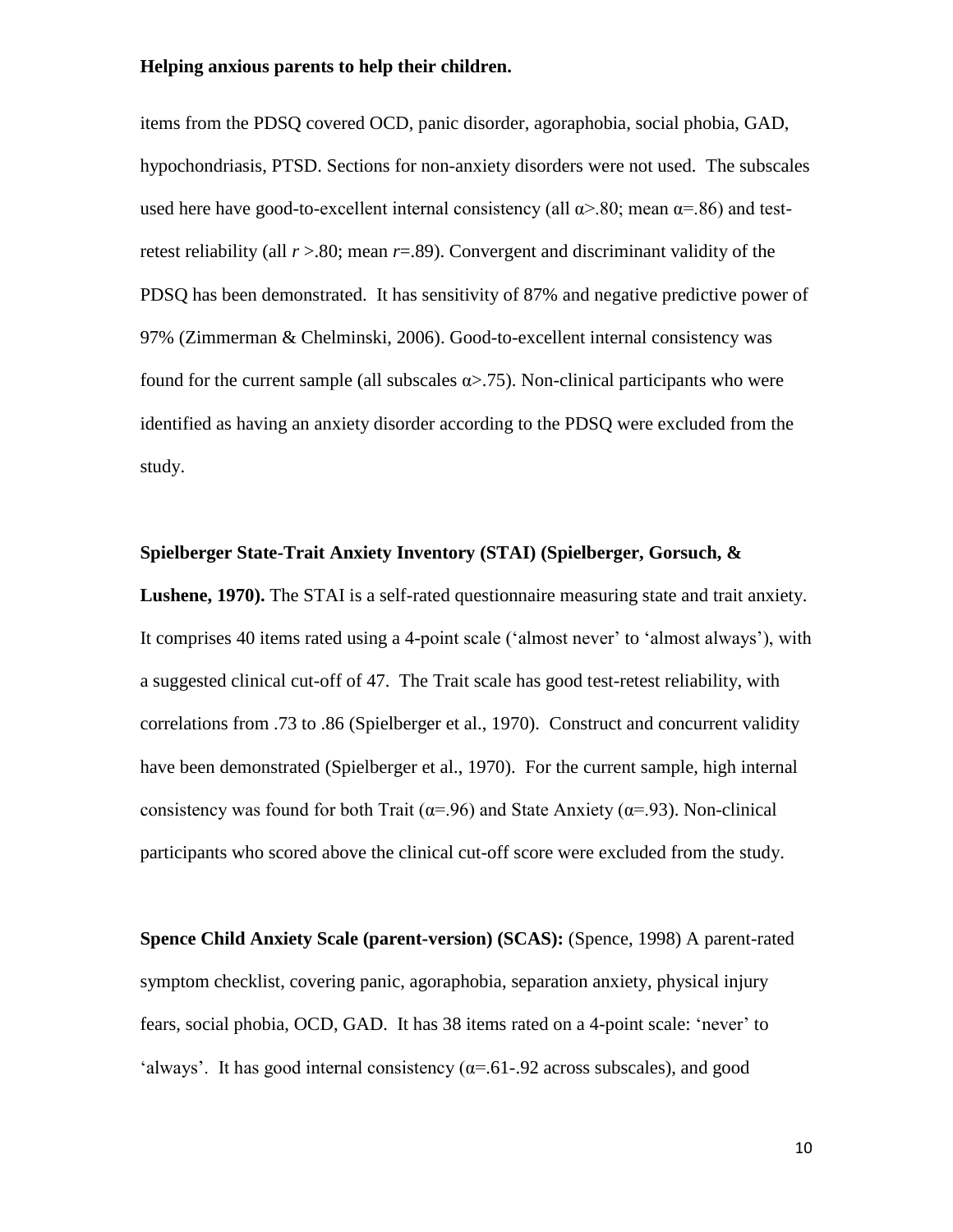items from the PDSQ covered OCD, panic disorder, agoraphobia, social phobia, GAD, hypochondriasis, PTSD. Sections for non-anxiety disorders were not used. The subscales used here have good-to-excellent internal consistency (all  $\alpha$ )-80; mean  $\alpha$ =.86) and testretest reliability (all *r* >.80; mean *r*=.89). Convergent and discriminant validity of the PDSQ has been demonstrated. It has sensitivity of 87% and negative predictive power of 97% (Zimmerman & Chelminski, 2006). Good-to-excellent internal consistency was found for the current sample (all subscales  $\alpha$  > .75). Non-clinical participants who were identified as having an anxiety disorder according to the PDSQ were excluded from the study.

#### **Spielberger State-Trait Anxiety Inventory (STAI) (Spielberger, Gorsuch, &**

**Lushene, 1970).** The STAI is a self-rated questionnaire measuring state and trait anxiety. It comprises 40 items rated using a 4-point scale ('almost never' to 'almost always'), with a suggested clinical cut-off of 47. The Trait scale has good test-retest reliability, with correlations from .73 to .86 (Spielberger et al., 1970). Construct and concurrent validity have been demonstrated (Spielberger et al., 1970). For the current sample, high internal consistency was found for both Trait ( $\alpha$ =.96) and State Anxiety ( $\alpha$ =.93). Non-clinical participants who scored above the clinical cut-off score were excluded from the study.

**Spence Child Anxiety Scale (parent-version) (SCAS):** (Spence, 1998) A parent-rated symptom checklist, covering panic, agoraphobia, separation anxiety, physical injury fears, social phobia, OCD, GAD. It has 38 items rated on a 4-point scale: 'never' to 'always'. It has good internal consistency  $(\alpha = .61-.92)$  across subscales), and good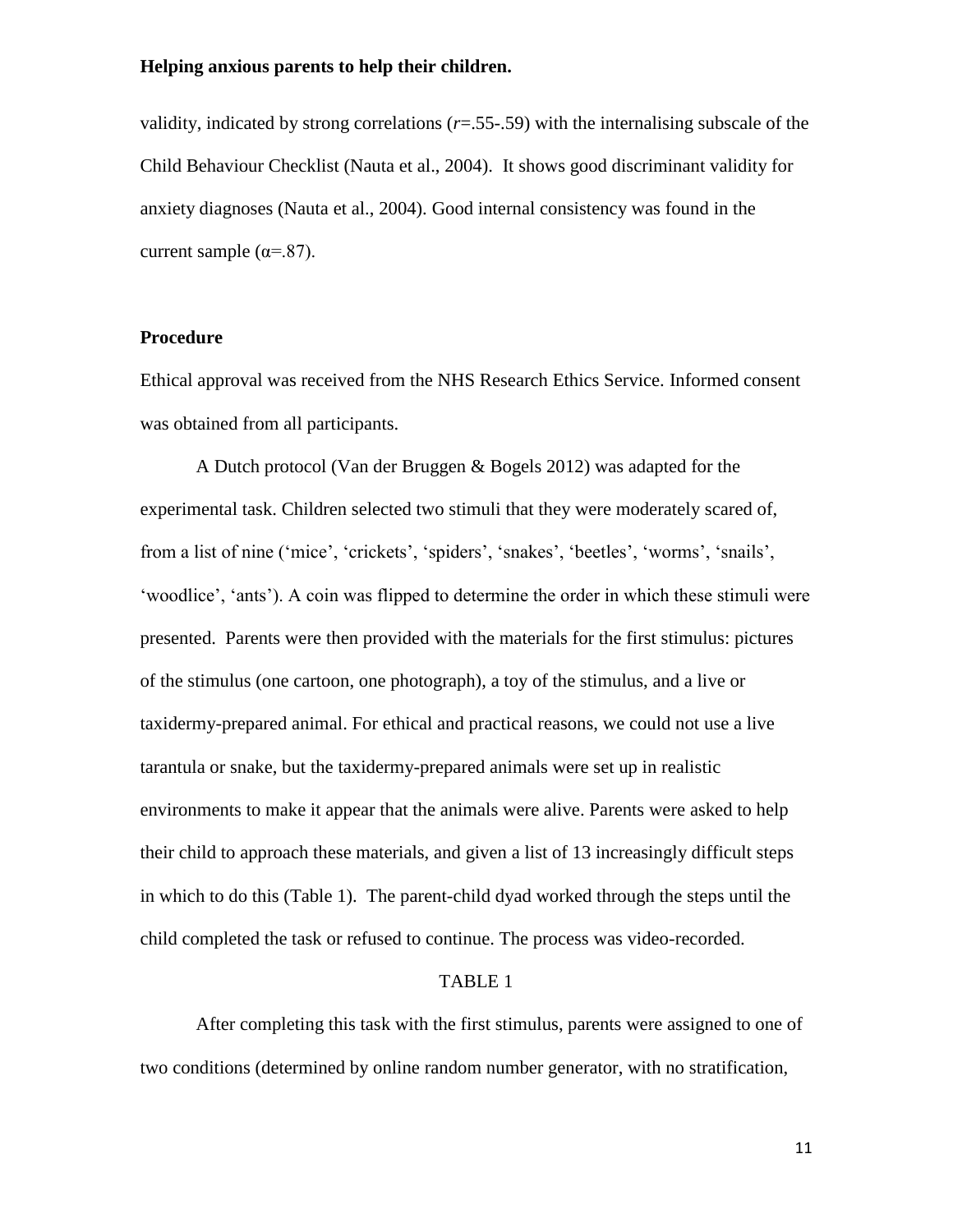validity, indicated by strong correlations (*r*=.55-.59) with the internalising subscale of the Child Behaviour Checklist (Nauta et al., 2004). It shows good discriminant validity for anxiety diagnoses (Nauta et al., 2004). Good internal consistency was found in the current sample ( $\alpha = .87$ ).

#### **Procedure**

Ethical approval was received from the NHS Research Ethics Service. Informed consent was obtained from all participants.

A Dutch protocol (Van der Bruggen & Bogels 2012) was adapted for the experimental task. Children selected two stimuli that they were moderately scared of, from a list of nine ('mice', 'crickets', 'spiders', 'snakes', 'beetles', 'worms', 'snails', 'woodlice', 'ants'). A coin was flipped to determine the order in which these stimuli were presented. Parents were then provided with the materials for the first stimulus: pictures of the stimulus (one cartoon, one photograph), a toy of the stimulus, and a live or taxidermy-prepared animal. For ethical and practical reasons, we could not use a live tarantula or snake, but the taxidermy-prepared animals were set up in realistic environments to make it appear that the animals were alive. Parents were asked to help their child to approach these materials, and given a list of 13 increasingly difficult steps in which to do this (Table 1). The parent-child dyad worked through the steps until the child completed the task or refused to continue. The process was video-recorded.

#### TABLE 1

After completing this task with the first stimulus, parents were assigned to one of two conditions (determined by online random number generator, with no stratification,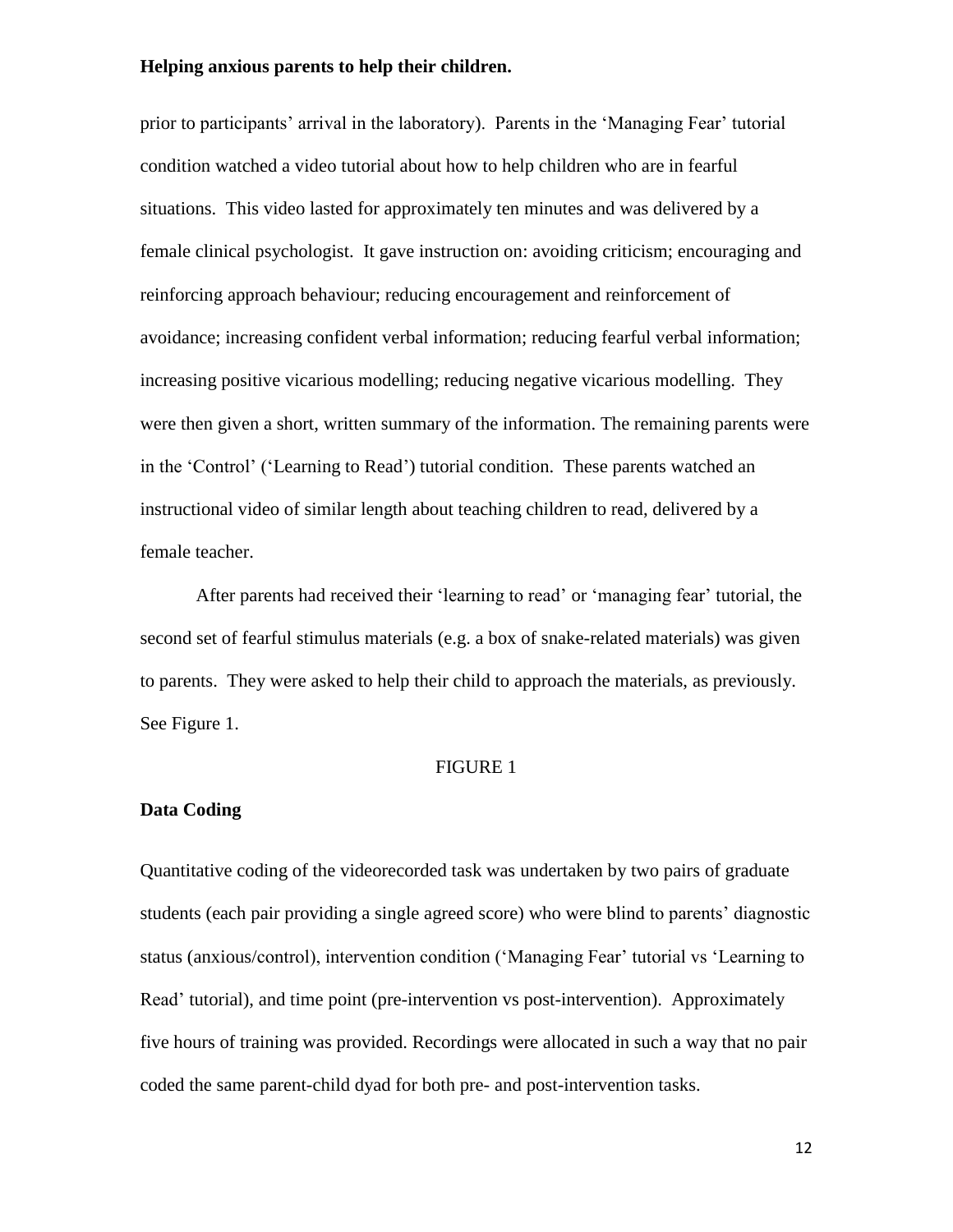prior to participants' arrival in the laboratory). Parents in the 'Managing Fear' tutorial condition watched a video tutorial about how to help children who are in fearful situations. This video lasted for approximately ten minutes and was delivered by a female clinical psychologist. It gave instruction on: avoiding criticism; encouraging and reinforcing approach behaviour; reducing encouragement and reinforcement of avoidance; increasing confident verbal information; reducing fearful verbal information; increasing positive vicarious modelling; reducing negative vicarious modelling. They were then given a short, written summary of the information. The remaining parents were in the 'Control' ('Learning to Read') tutorial condition. These parents watched an instructional video of similar length about teaching children to read, delivered by a female teacher.

After parents had received their 'learning to read' or 'managing fear' tutorial, the second set of fearful stimulus materials (e.g. a box of snake-related materials) was given to parents. They were asked to help their child to approach the materials, as previously. See Figure 1.

#### FIGURE 1

#### **Data Coding**

Quantitative coding of the videorecorded task was undertaken by two pairs of graduate students (each pair providing a single agreed score) who were blind to parents' diagnostic status (anxious/control), intervention condition ('Managing Fear' tutorial vs 'Learning to Read' tutorial), and time point (pre-intervention vs post-intervention). Approximately five hours of training was provided. Recordings were allocated in such a way that no pair coded the same parent-child dyad for both pre- and post-intervention tasks.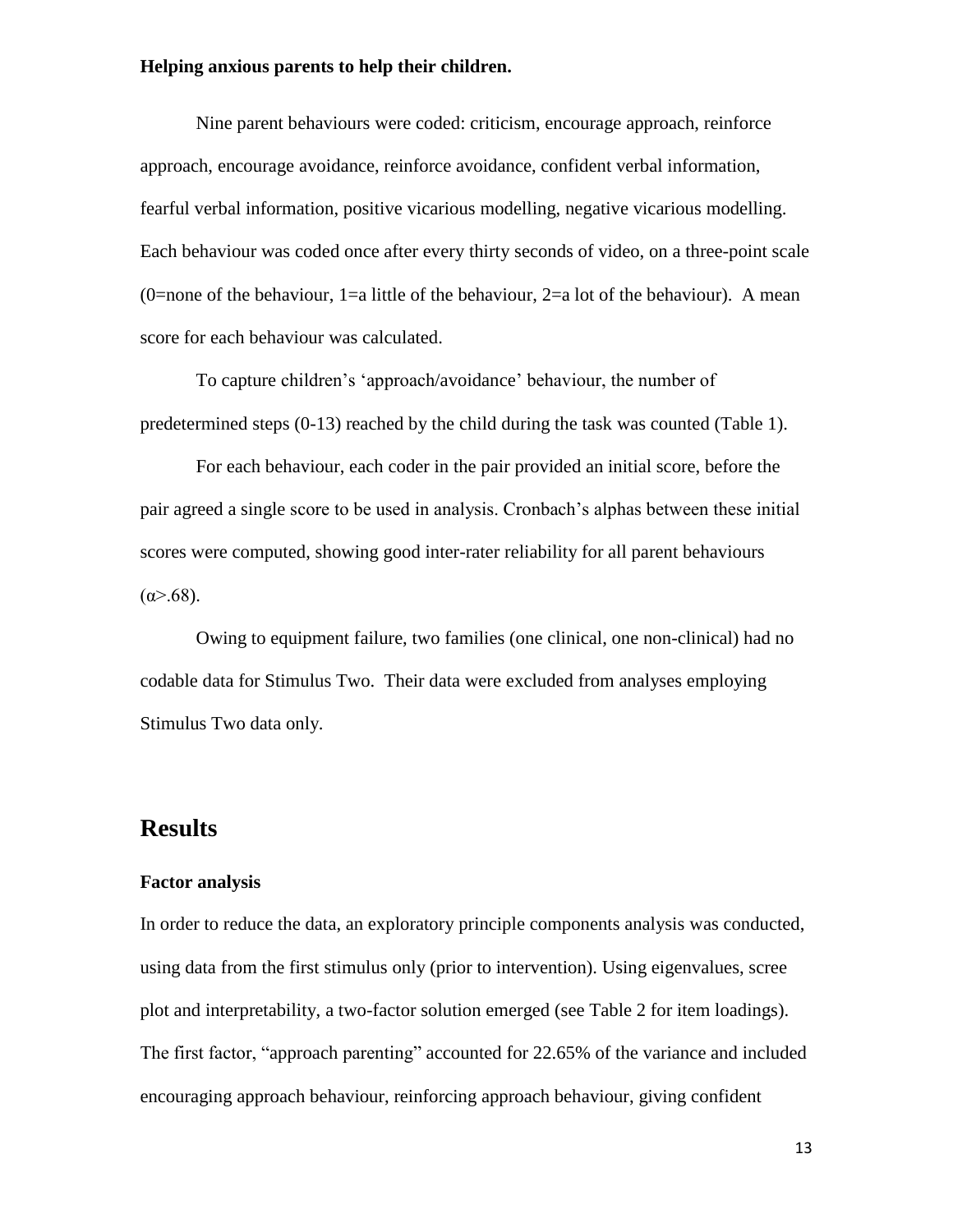Nine parent behaviours were coded: criticism, encourage approach, reinforce approach, encourage avoidance, reinforce avoidance, confident verbal information, fearful verbal information, positive vicarious modelling, negative vicarious modelling. Each behaviour was coded once after every thirty seconds of video, on a three-point scale (0=none of the behaviour, 1=a little of the behaviour, 2=a lot of the behaviour). A mean score for each behaviour was calculated.

To capture children's 'approach/avoidance' behaviour, the number of predetermined steps (0-13) reached by the child during the task was counted (Table 1).

For each behaviour, each coder in the pair provided an initial score, before the pair agreed a single score to be used in analysis. Cronbach's alphas between these initial scores were computed, showing good inter-rater reliability for all parent behaviours (α>.68).

Owing to equipment failure, two families (one clinical, one non-clinical) had no codable data for Stimulus Two. Their data were excluded from analyses employing Stimulus Two data only.

## **Results**

#### **Factor analysis**

In order to reduce the data, an exploratory principle components analysis was conducted, using data from the first stimulus only (prior to intervention). Using eigenvalues, scree plot and interpretability, a two-factor solution emerged (see Table 2 for item loadings). The first factor, "approach parenting" accounted for 22.65% of the variance and included encouraging approach behaviour, reinforcing approach behaviour, giving confident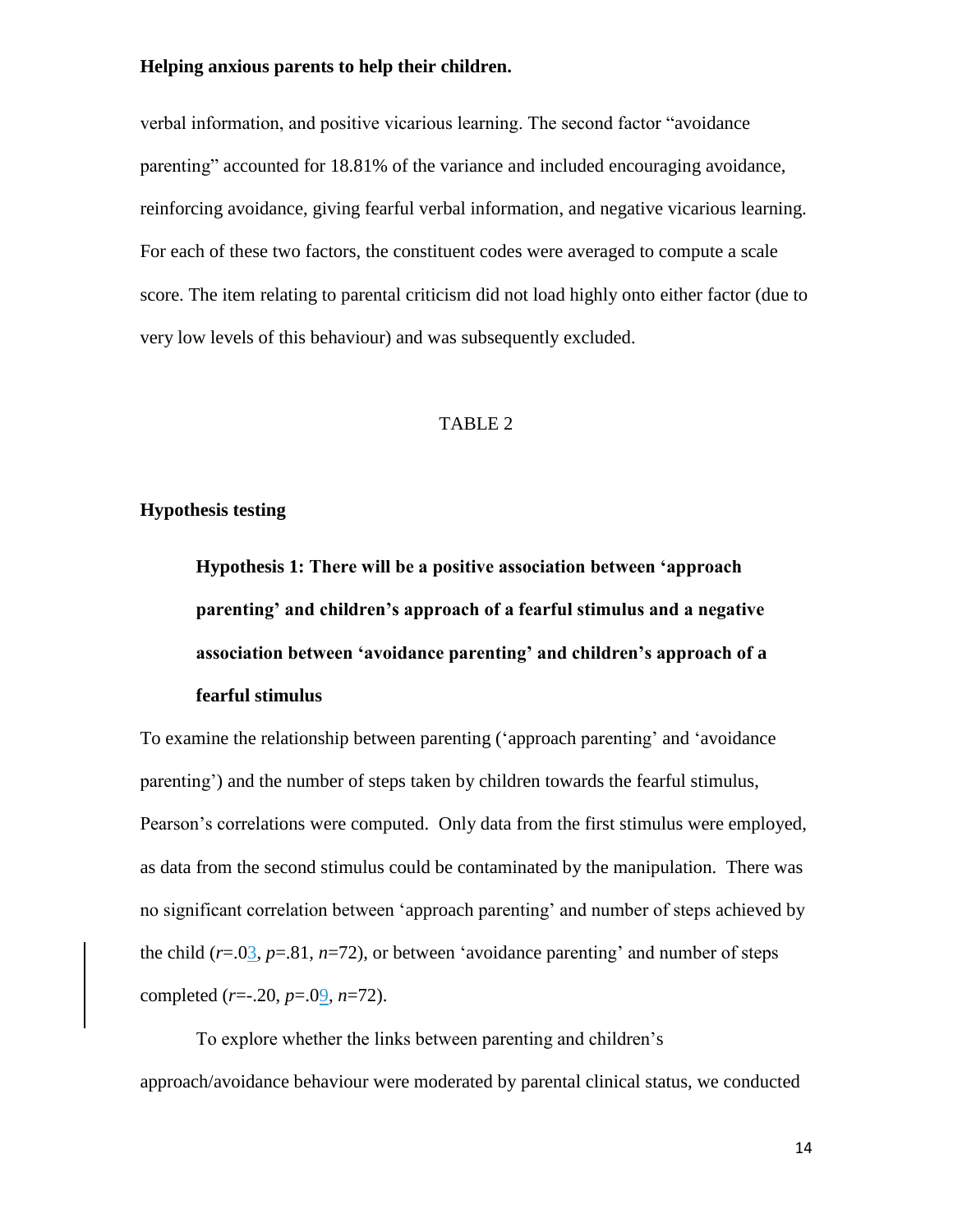verbal information, and positive vicarious learning. The second factor "avoidance parenting" accounted for 18.81% of the variance and included encouraging avoidance, reinforcing avoidance, giving fearful verbal information, and negative vicarious learning. For each of these two factors, the constituent codes were averaged to compute a scale score. The item relating to parental criticism did not load highly onto either factor (due to very low levels of this behaviour) and was subsequently excluded.

#### TABLE 2

#### **Hypothesis testing**

**Hypothesis 1: There will be a positive association between 'approach parenting' and children's approach of a fearful stimulus and a negative association between 'avoidance parenting' and children's approach of a fearful stimulus**

To examine the relationship between parenting ('approach parenting' and 'avoidance parenting') and the number of steps taken by children towards the fearful stimulus, Pearson's correlations were computed. Only data from the first stimulus were employed, as data from the second stimulus could be contaminated by the manipulation. There was no significant correlation between 'approach parenting' and number of steps achieved by the child  $(r=.03, p=.81, n=72)$ , or between 'avoidance parenting' and number of steps completed (*r*=-.20, *p*=.09, *n*=72).

To explore whether the links between parenting and children's approach/avoidance behaviour were moderated by parental clinical status, we conducted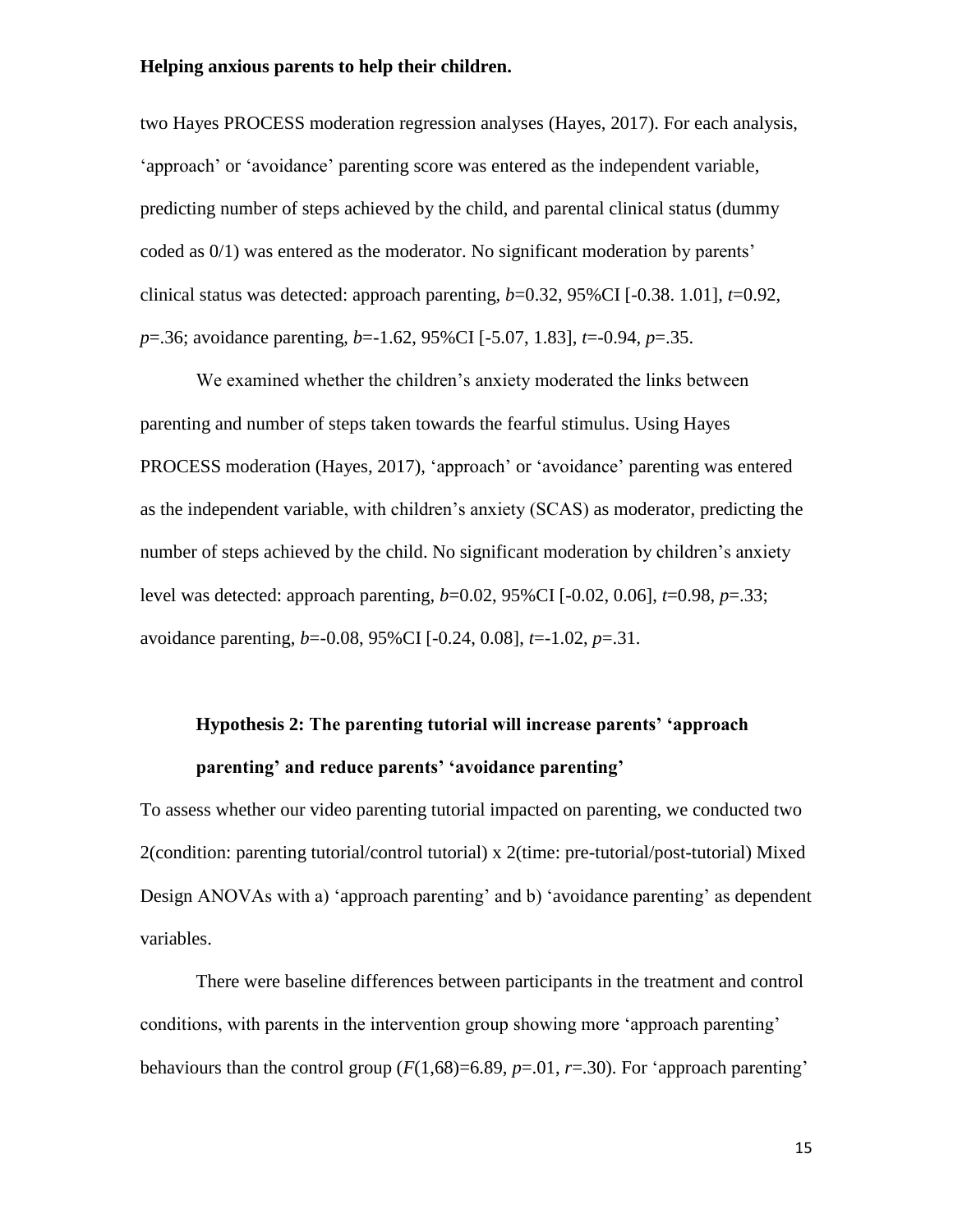two Hayes PROCESS moderation regression analyses (Hayes, 2017). For each analysis, 'approach' or 'avoidance' parenting score was entered as the independent variable, predicting number of steps achieved by the child, and parental clinical status (dummy coded as 0/1) was entered as the moderator. No significant moderation by parents' clinical status was detected: approach parenting,  $b=0.32$ ,  $95\%$ CI [ $-0.38$ . 1.01],  $t=0.92$ , *p*=.36; avoidance parenting, *b*=-1.62, 95%CI [-5.07, 1.83], *t*=-0.94, *p*=.35.

We examined whether the children's anxiety moderated the links between parenting and number of steps taken towards the fearful stimulus. Using Hayes PROCESS moderation (Hayes, 2017), 'approach' or 'avoidance' parenting was entered as the independent variable, with children's anxiety (SCAS) as moderator, predicting the number of steps achieved by the child. No significant moderation by children's anxiety level was detected: approach parenting, *b*=0.02, 95%CI [-0.02, 0.06], *t*=0.98, *p*=.33; avoidance parenting, *b*=-0.08, 95%CI [-0.24, 0.08], *t*=-1.02, *p*=.31.

# **Hypothesis 2: The parenting tutorial will increase parents' 'approach parenting' and reduce parents' 'avoidance parenting'**

To assess whether our video parenting tutorial impacted on parenting, we conducted two 2(condition: parenting tutorial/control tutorial) x 2(time: pre-tutorial/post-tutorial) Mixed Design ANOVAs with a) 'approach parenting' and b) 'avoidance parenting' as dependent variables.

There were baseline differences between participants in the treatment and control conditions, with parents in the intervention group showing more 'approach parenting' behaviours than the control group  $(F(1,68)=6.89, p=.01, r=.30)$ . For 'approach parenting'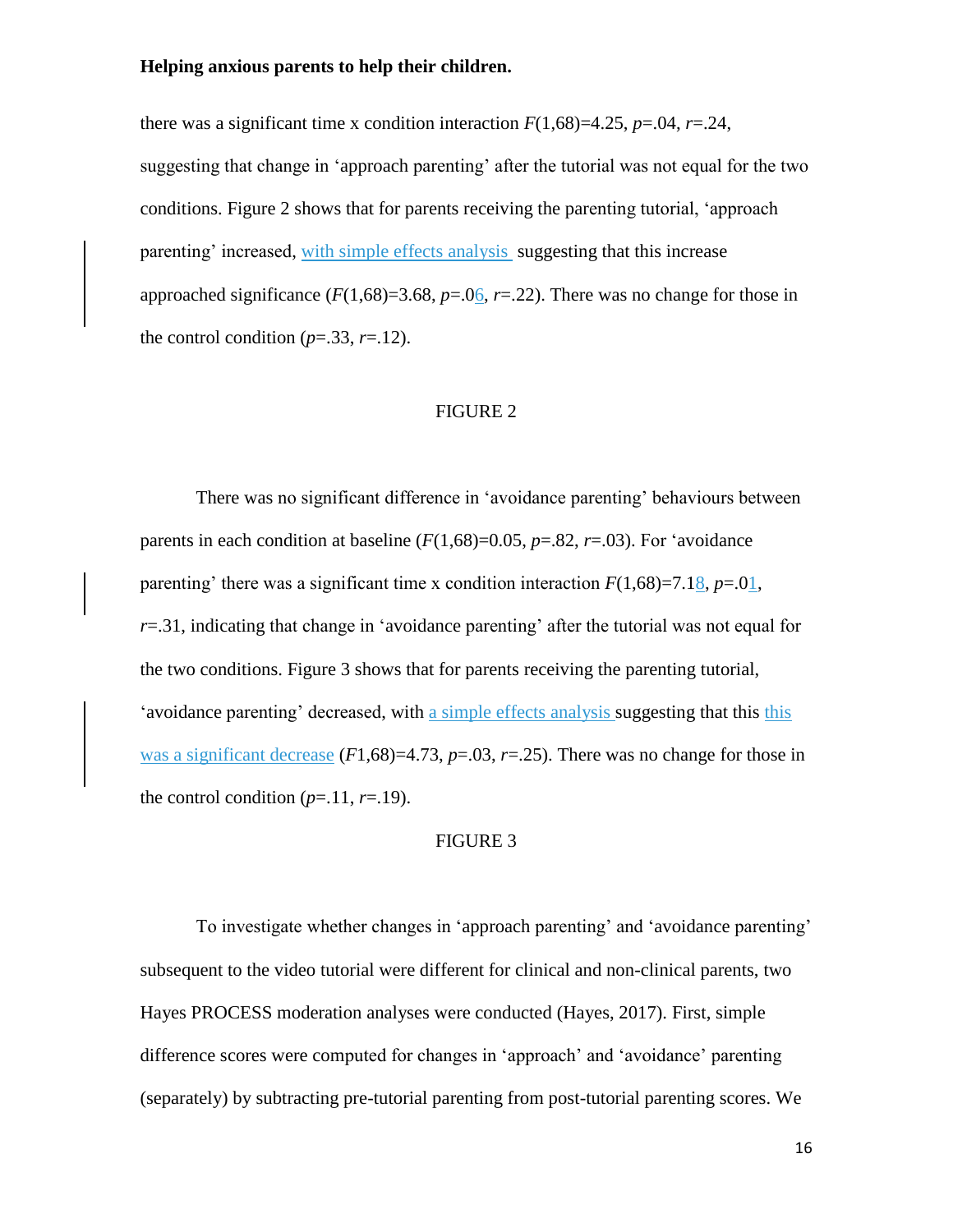there was a significant time x condition interaction  $F(1,68)=4.25$ ,  $p=.04$ ,  $r=.24$ , suggesting that change in 'approach parenting' after the tutorial was not equal for the two conditions. Figure 2 shows that for parents receiving the parenting tutorial, 'approach parenting' increased, with simple effects analysis suggesting that this increase approached significance  $(F(1,68)=3.68, p=.06, r=.22)$ . There was no change for those in the control condition  $(p=.33, r=.12)$ .

#### FIGURE 2

There was no significant difference in 'avoidance parenting' behaviours between parents in each condition at baseline  $(F(1.68)=0.05, p=.82, r=.03)$ . For 'avoidance parenting' there was a significant time x condition interaction  $F(1,68)=7.18$ ,  $p=.01$ , *r*=.31, indicating that change in 'avoidance parenting' after the tutorial was not equal for the two conditions. Figure 3 shows that for parents receiving the parenting tutorial, 'avoidance parenting' decreased, with a simple effects analysis suggesting that this this was a significant decrease  $(F1,68)=4.73$ ,  $p=.03$ ,  $r=.25$ ). There was no change for those in the control condition  $(p=11, r=19)$ .

#### FIGURE 3

To investigate whether changes in 'approach parenting' and 'avoidance parenting' subsequent to the video tutorial were different for clinical and non-clinical parents, two Hayes PROCESS moderation analyses were conducted (Hayes, 2017). First, simple difference scores were computed for changes in 'approach' and 'avoidance' parenting (separately) by subtracting pre-tutorial parenting from post-tutorial parenting scores. We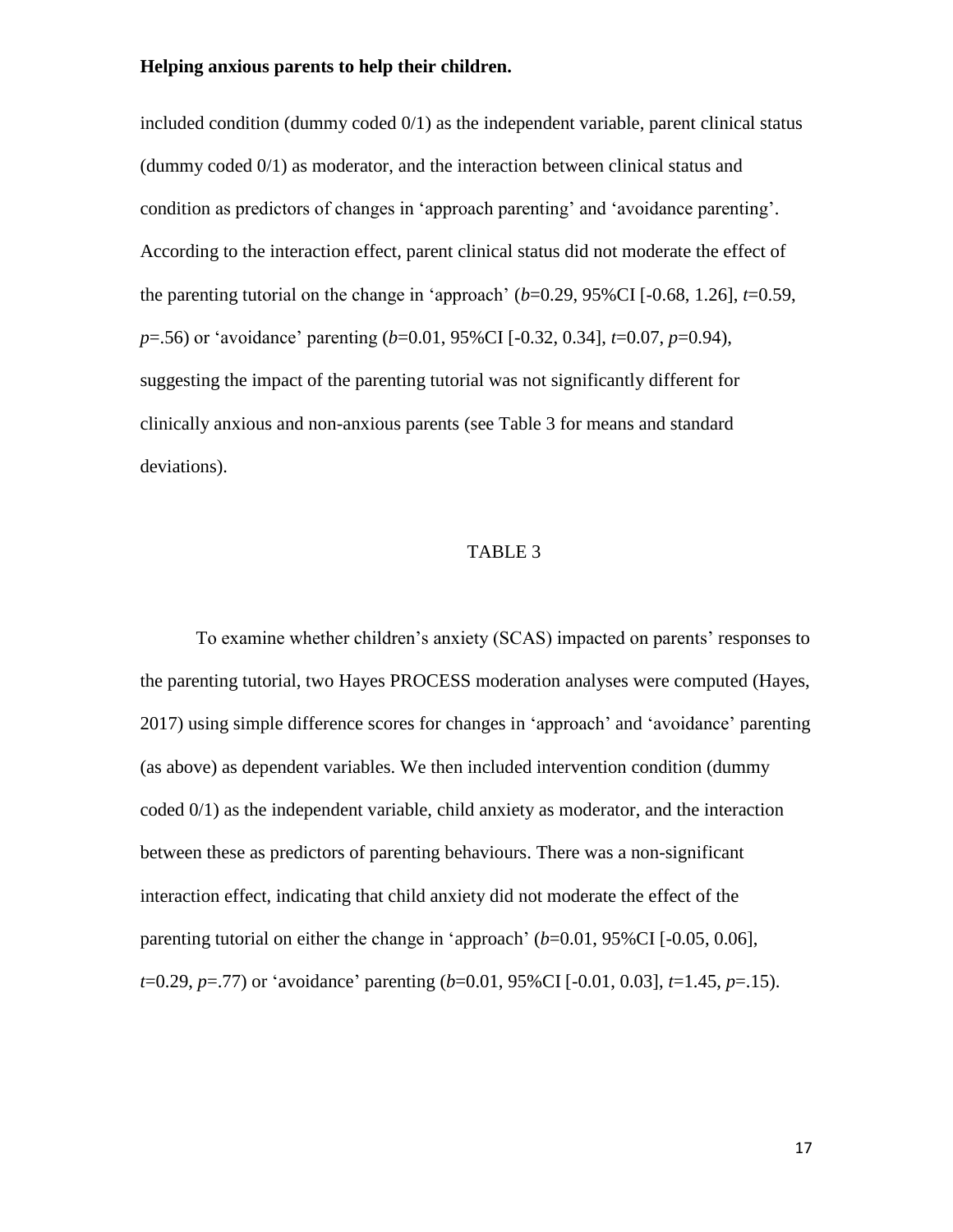included condition (dummy coded  $0/1$ ) as the independent variable, parent clinical status (dummy coded 0/1) as moderator, and the interaction between clinical status and condition as predictors of changes in 'approach parenting' and 'avoidance parenting'. According to the interaction effect, parent clinical status did not moderate the effect of the parenting tutorial on the change in 'approach'  $(b=0.29, 95\%$ CI  $[-0.68, 1.26]$ ,  $t=0.59$ , *p*=.56) or 'avoidance' parenting (*b*=0.01, 95%CI [-0.32, 0.34], *t*=0.07, *p*=0.94), suggesting the impact of the parenting tutorial was not significantly different for clinically anxious and non-anxious parents (see Table 3 for means and standard deviations).

#### TABLE 3

To examine whether children's anxiety (SCAS) impacted on parents' responses to the parenting tutorial, two Hayes PROCESS moderation analyses were computed (Hayes, 2017) using simple difference scores for changes in 'approach' and 'avoidance' parenting (as above) as dependent variables. We then included intervention condition (dummy coded 0/1) as the independent variable, child anxiety as moderator, and the interaction between these as predictors of parenting behaviours. There was a non-significant interaction effect, indicating that child anxiety did not moderate the effect of the parenting tutorial on either the change in 'approach' (*b*=0.01, 95%CI [-0.05, 0.06], *t*=0.29, *p*=.77) or 'avoidance' parenting (*b*=0.01, 95%CI [-0.01, 0.03], *t*=1.45, *p*=.15).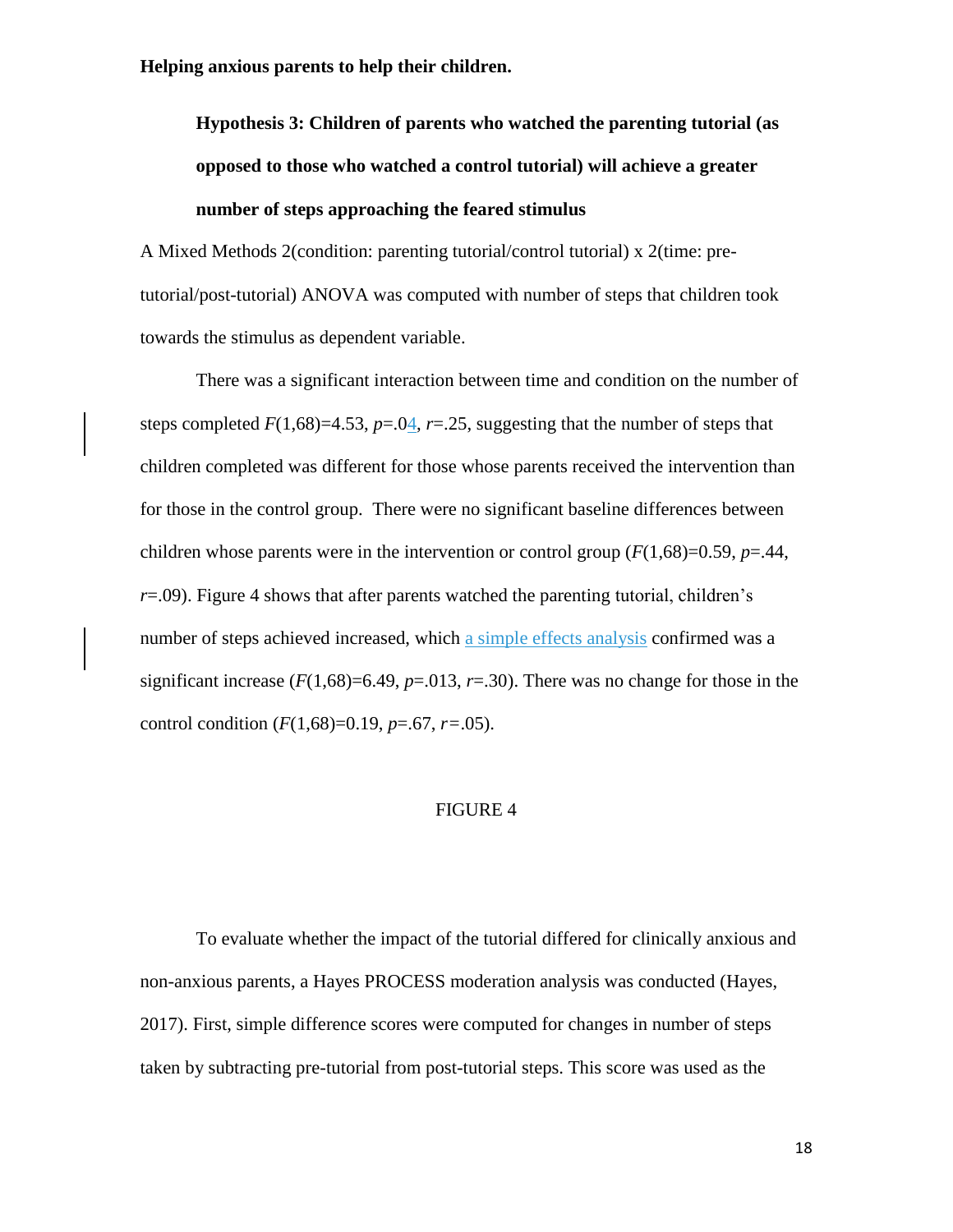**Hypothesis 3: Children of parents who watched the parenting tutorial (as opposed to those who watched a control tutorial) will achieve a greater number of steps approaching the feared stimulus**

A Mixed Methods 2(condition: parenting tutorial/control tutorial) x 2(time: pretutorial/post-tutorial) ANOVA was computed with number of steps that children took towards the stimulus as dependent variable.

There was a significant interaction between time and condition on the number of steps completed  $F(1,68)=4.53$ ,  $p=.04$ ,  $r=.25$ , suggesting that the number of steps that children completed was different for those whose parents received the intervention than for those in the control group. There were no significant baseline differences between children whose parents were in the intervention or control group  $(F(1,68)=0.59, p=.44,$  $r = .09$ ). Figure 4 shows that after parents watched the parenting tutorial, children's number of steps achieved increased, which a simple effects analysis confirmed was a significant increase  $(F(1,68)=6.49, p=.013, r=.30)$ . There was no change for those in the control condition (*F*(1,68)=0.19, *p*=.67, *r=*.05).

#### FIGURE 4

To evaluate whether the impact of the tutorial differed for clinically anxious and non-anxious parents, a Hayes PROCESS moderation analysis was conducted (Hayes, 2017). First, simple difference scores were computed for changes in number of steps taken by subtracting pre-tutorial from post-tutorial steps. This score was used as the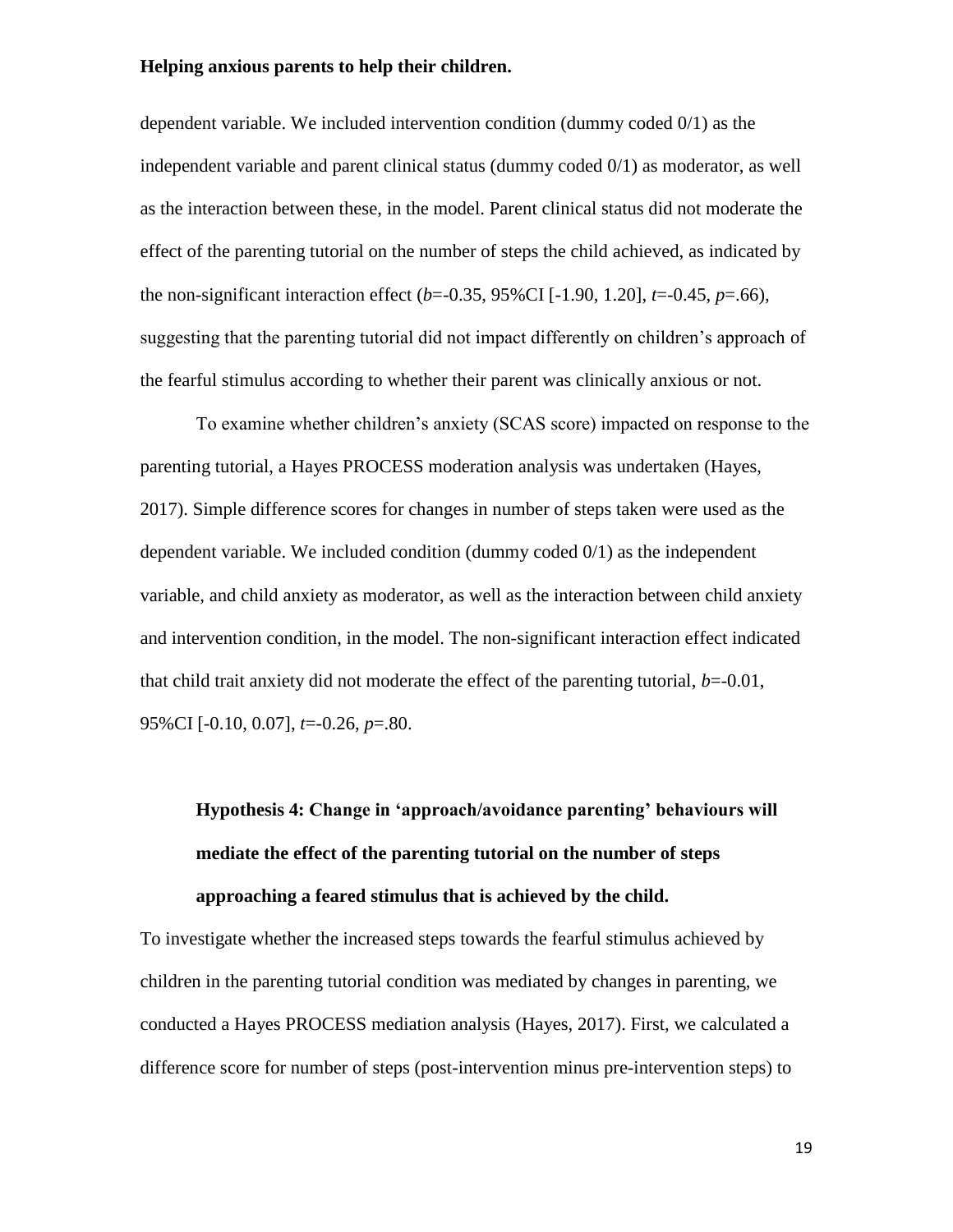dependent variable. We included intervention condition (dummy coded 0/1) as the independent variable and parent clinical status (dummy coded 0/1) as moderator, as well as the interaction between these, in the model. Parent clinical status did not moderate the effect of the parenting tutorial on the number of steps the child achieved, as indicated by the non-significant interaction effect (*b*=-0.35, 95%CI [-1.90, 1.20], *t*=-0.45, *p*=.66), suggesting that the parenting tutorial did not impact differently on children's approach of the fearful stimulus according to whether their parent was clinically anxious or not.

To examine whether children's anxiety (SCAS score) impacted on response to the parenting tutorial, a Hayes PROCESS moderation analysis was undertaken (Hayes, 2017). Simple difference scores for changes in number of steps taken were used as the dependent variable. We included condition (dummy coded 0/1) as the independent variable, and child anxiety as moderator, as well as the interaction between child anxiety and intervention condition, in the model. The non-significant interaction effect indicated that child trait anxiety did not moderate the effect of the parenting tutorial,  $b=-0.01$ , 95%CI [-0.10, 0.07], *t*=-0.26, *p*=.80.

# **Hypothesis 4: Change in 'approach/avoidance parenting' behaviours will mediate the effect of the parenting tutorial on the number of steps approaching a feared stimulus that is achieved by the child.**

To investigate whether the increased steps towards the fearful stimulus achieved by children in the parenting tutorial condition was mediated by changes in parenting, we conducted a Hayes PROCESS mediation analysis (Hayes, 2017). First, we calculated a difference score for number of steps (post-intervention minus pre-intervention steps) to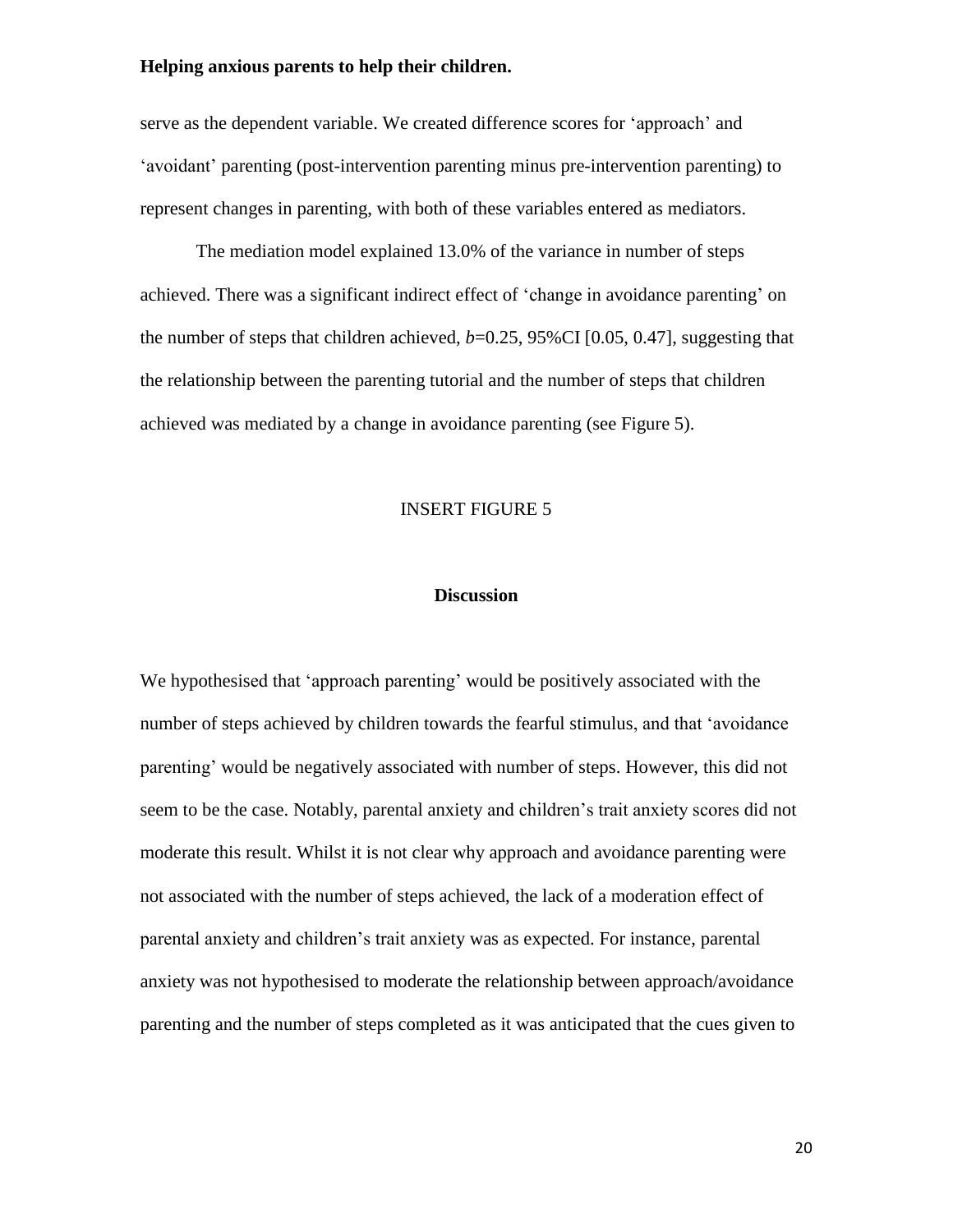serve as the dependent variable. We created difference scores for 'approach' and 'avoidant' parenting (post-intervention parenting minus pre-intervention parenting) to represent changes in parenting, with both of these variables entered as mediators.

The mediation model explained 13.0% of the variance in number of steps achieved. There was a significant indirect effect of 'change in avoidance parenting' on the number of steps that children achieved,  $b=0.25$ , 95%CI [0.05, 0.47], suggesting that the relationship between the parenting tutorial and the number of steps that children achieved was mediated by a change in avoidance parenting (see Figure 5).

#### INSERT FIGURE 5

#### **Discussion**

We hypothesised that 'approach parenting' would be positively associated with the number of steps achieved by children towards the fearful stimulus, and that 'avoidance parenting' would be negatively associated with number of steps. However, this did not seem to be the case. Notably, parental anxiety and children's trait anxiety scores did not moderate this result. Whilst it is not clear why approach and avoidance parenting were not associated with the number of steps achieved, the lack of a moderation effect of parental anxiety and children's trait anxiety was as expected. For instance, parental anxiety was not hypothesised to moderate the relationship between approach/avoidance parenting and the number of steps completed as it was anticipated that the cues given to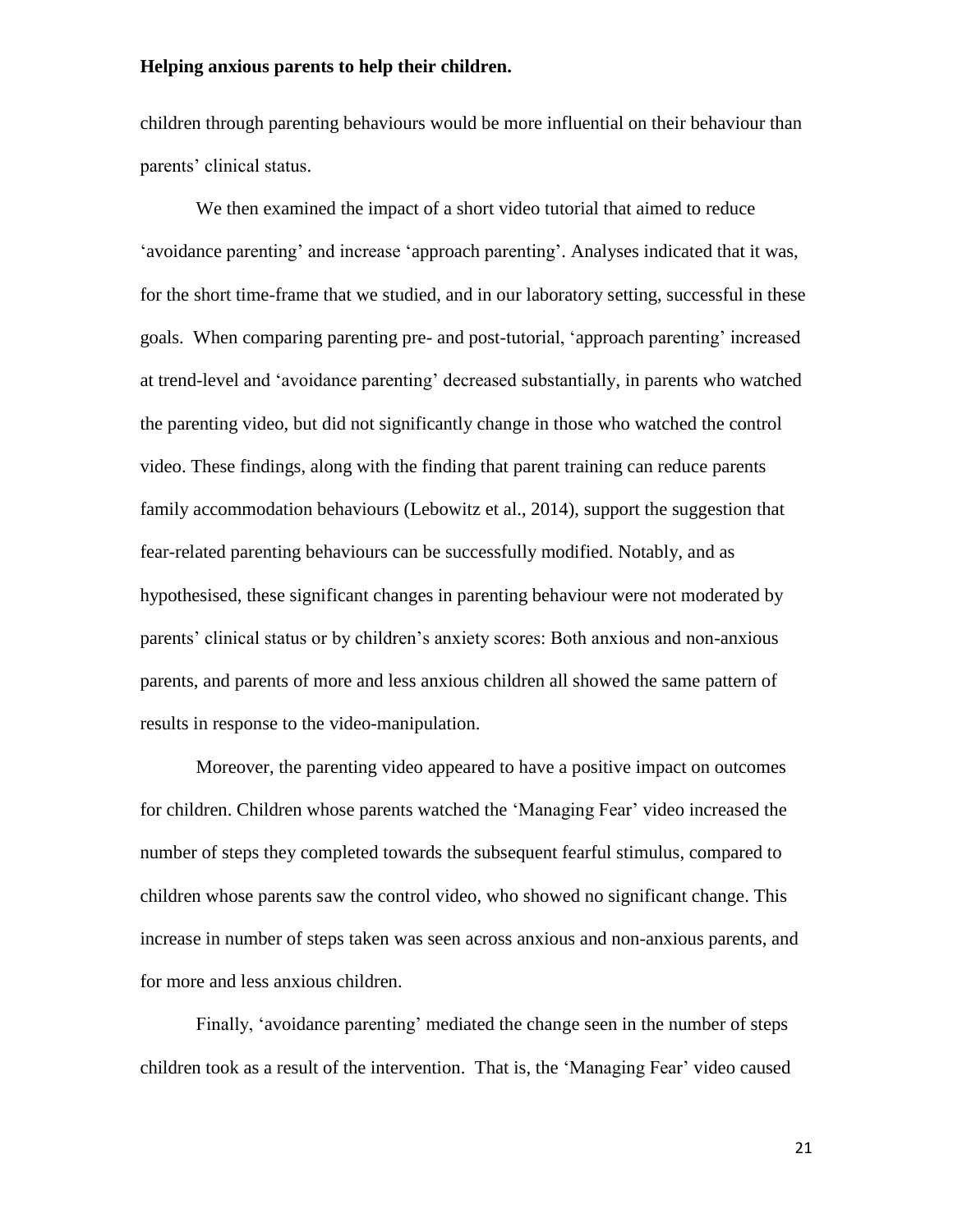children through parenting behaviours would be more influential on their behaviour than parents' clinical status.

We then examined the impact of a short video tutorial that aimed to reduce 'avoidance parenting' and increase 'approach parenting'. Analyses indicated that it was, for the short time-frame that we studied, and in our laboratory setting, successful in these goals. When comparing parenting pre- and post-tutorial, 'approach parenting' increased at trend-level and 'avoidance parenting' decreased substantially, in parents who watched the parenting video, but did not significantly change in those who watched the control video. These findings, along with the finding that parent training can reduce parents family accommodation behaviours (Lebowitz et al., 2014), support the suggestion that fear-related parenting behaviours can be successfully modified. Notably, and as hypothesised, these significant changes in parenting behaviour were not moderated by parents' clinical status or by children's anxiety scores: Both anxious and non-anxious parents, and parents of more and less anxious children all showed the same pattern of results in response to the video-manipulation.

Moreover, the parenting video appeared to have a positive impact on outcomes for children. Children whose parents watched the 'Managing Fear' video increased the number of steps they completed towards the subsequent fearful stimulus, compared to children whose parents saw the control video, who showed no significant change. This increase in number of steps taken was seen across anxious and non-anxious parents, and for more and less anxious children.

Finally, 'avoidance parenting' mediated the change seen in the number of steps children took as a result of the intervention. That is, the 'Managing Fear' video caused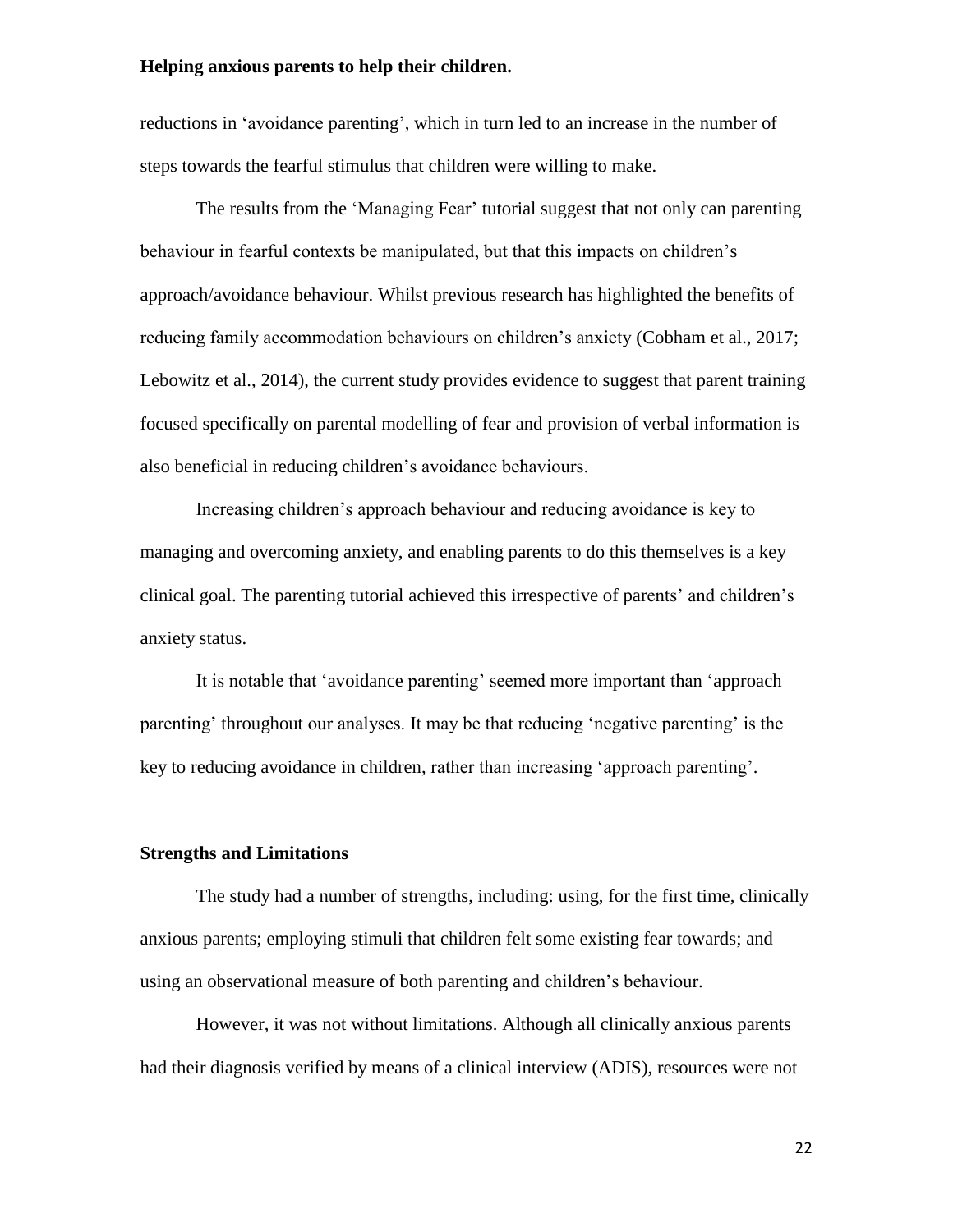reductions in 'avoidance parenting', which in turn led to an increase in the number of steps towards the fearful stimulus that children were willing to make.

The results from the 'Managing Fear' tutorial suggest that not only can parenting behaviour in fearful contexts be manipulated, but that this impacts on children's approach/avoidance behaviour. Whilst previous research has highlighted the benefits of reducing family accommodation behaviours on children's anxiety (Cobham et al., 2017; Lebowitz et al., 2014), the current study provides evidence to suggest that parent training focused specifically on parental modelling of fear and provision of verbal information is also beneficial in reducing children's avoidance behaviours.

Increasing children's approach behaviour and reducing avoidance is key to managing and overcoming anxiety, and enabling parents to do this themselves is a key clinical goal. The parenting tutorial achieved this irrespective of parents' and children's anxiety status.

It is notable that 'avoidance parenting' seemed more important than 'approach parenting' throughout our analyses. It may be that reducing 'negative parenting' is the key to reducing avoidance in children, rather than increasing 'approach parenting'.

#### **Strengths and Limitations**

The study had a number of strengths, including: using, for the first time, clinically anxious parents; employing stimuli that children felt some existing fear towards; and using an observational measure of both parenting and children's behaviour.

However, it was not without limitations. Although all clinically anxious parents had their diagnosis verified by means of a clinical interview (ADIS), resources were not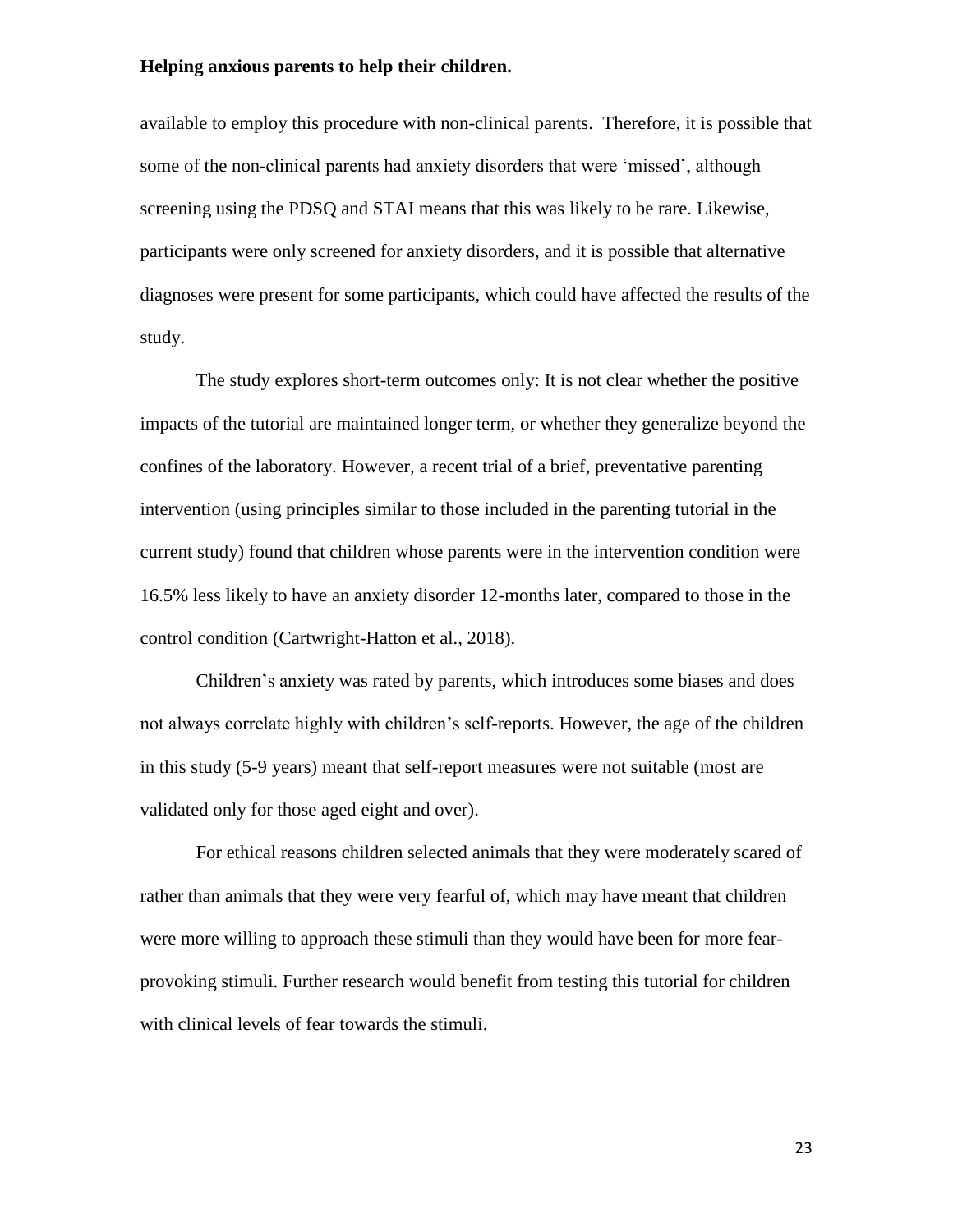available to employ this procedure with non-clinical parents. Therefore, it is possible that some of the non-clinical parents had anxiety disorders that were 'missed', although screening using the PDSQ and STAI means that this was likely to be rare. Likewise, participants were only screened for anxiety disorders, and it is possible that alternative diagnoses were present for some participants, which could have affected the results of the study.

The study explores short-term outcomes only: It is not clear whether the positive impacts of the tutorial are maintained longer term, or whether they generalize beyond the confines of the laboratory. However, a recent trial of a brief, preventative parenting intervention (using principles similar to those included in the parenting tutorial in the current study) found that children whose parents were in the intervention condition were 16.5% less likely to have an anxiety disorder 12-months later, compared to those in the control condition (Cartwright-Hatton et al., 2018).

Children's anxiety was rated by parents, which introduces some biases and does not always correlate highly with children's self-reports. However, the age of the children in this study (5-9 years) meant that self-report measures were not suitable (most are validated only for those aged eight and over).

For ethical reasons children selected animals that they were moderately scared of rather than animals that they were very fearful of, which may have meant that children were more willing to approach these stimuli than they would have been for more fearprovoking stimuli. Further research would benefit from testing this tutorial for children with clinical levels of fear towards the stimuli.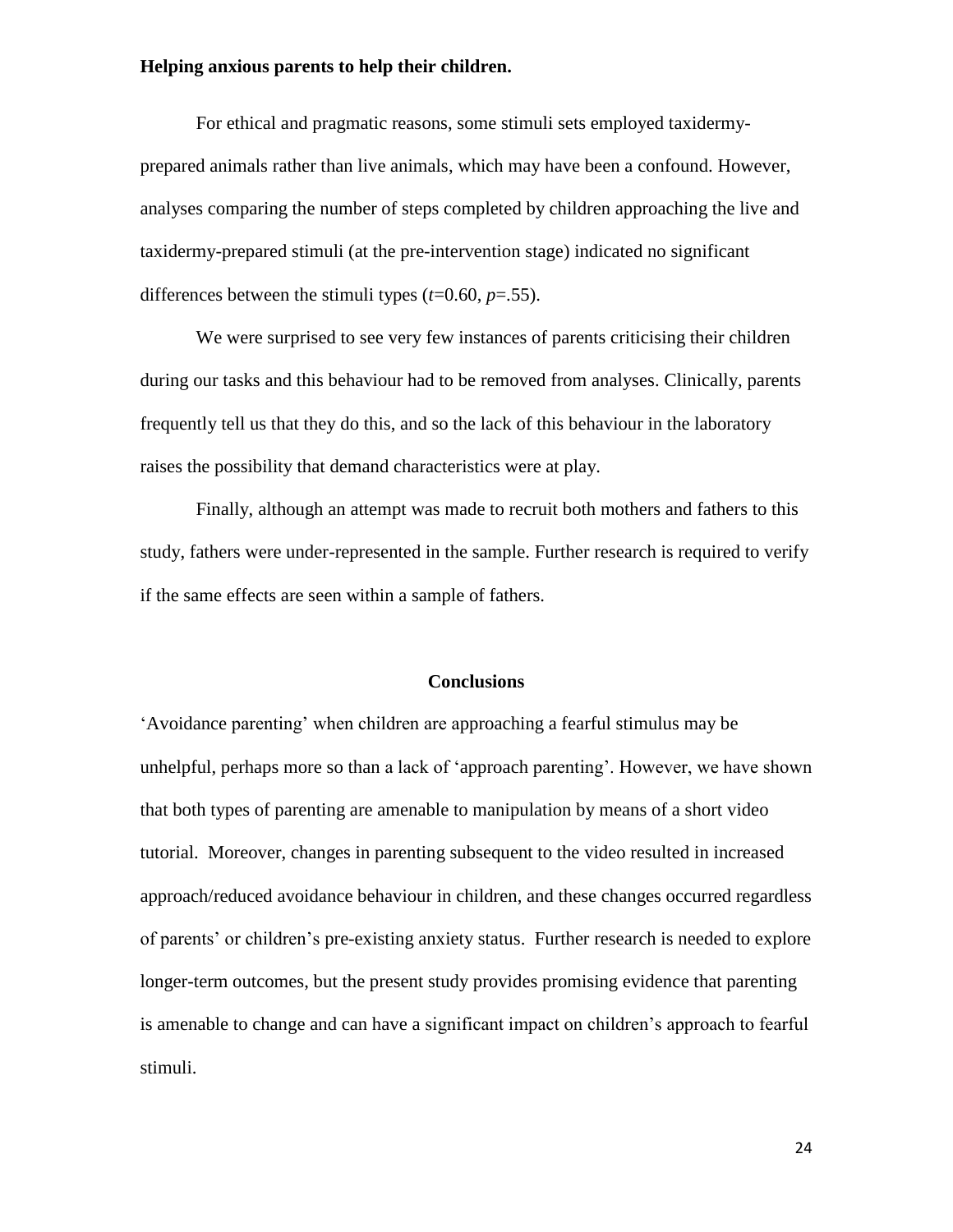For ethical and pragmatic reasons, some stimuli sets employed taxidermyprepared animals rather than live animals, which may have been a confound. However, analyses comparing the number of steps completed by children approaching the live and taxidermy-prepared stimuli (at the pre-intervention stage) indicated no significant differences between the stimuli types  $(t=0.60, p=.55)$ .

We were surprised to see very few instances of parents criticising their children during our tasks and this behaviour had to be removed from analyses. Clinically, parents frequently tell us that they do this, and so the lack of this behaviour in the laboratory raises the possibility that demand characteristics were at play.

Finally, although an attempt was made to recruit both mothers and fathers to this study, fathers were under-represented in the sample. Further research is required to verify if the same effects are seen within a sample of fathers.

#### **Conclusions**

'Avoidance parenting' when children are approaching a fearful stimulus may be unhelpful, perhaps more so than a lack of 'approach parenting'. However, we have shown that both types of parenting are amenable to manipulation by means of a short video tutorial. Moreover, changes in parenting subsequent to the video resulted in increased approach/reduced avoidance behaviour in children, and these changes occurred regardless of parents' or children's pre-existing anxiety status. Further research is needed to explore longer-term outcomes, but the present study provides promising evidence that parenting is amenable to change and can have a significant impact on children's approach to fearful stimuli.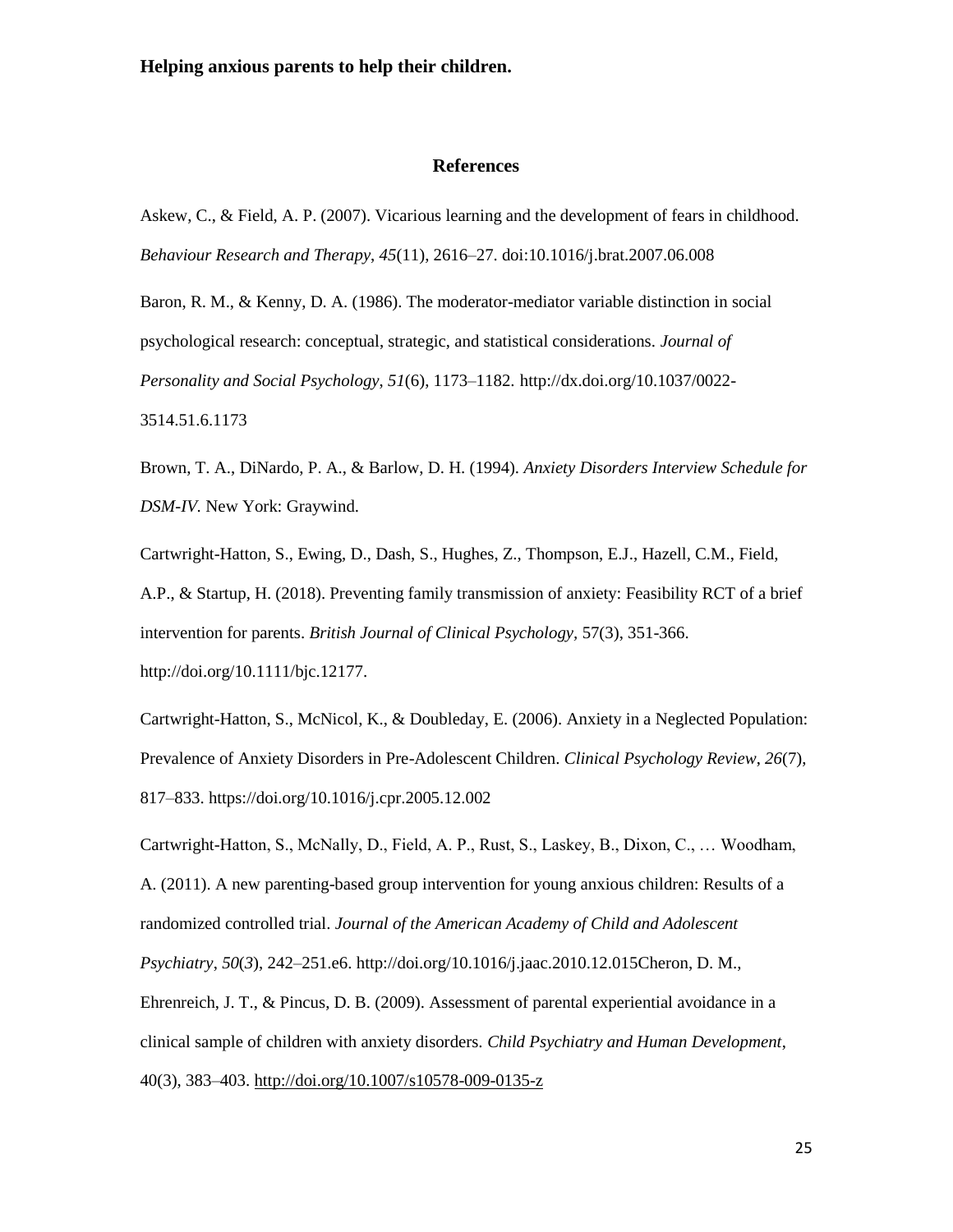#### **References**

Askew, C., & Field, A. P. (2007). Vicarious learning and the development of fears in childhood. *Behaviour Research and Therapy*, *45*(11), 2616–27. doi:10.1016/j.brat.2007.06.008

Baron, R. M., & Kenny, D. A. (1986). The moderator-mediator variable distinction in social psychological research: conceptual, strategic, and statistical considerations. *Journal of Personality and Social Psychology*, *51*(6), 1173–1182. http://dx.doi.org/10.1037/0022- 3514.51.6.1173

Brown, T. A., DiNardo, P. A., & Barlow, D. H. (1994). *Anxiety Disorders Interview Schedule for DSM-IV.* New York: Graywind.

Cartwright-Hatton, S., Ewing, D., Dash, S., Hughes, Z., Thompson, E.J., Hazell, C.M., Field, A.P., & Startup, H. (2018). Preventing family transmission of anxiety: Feasibility RCT of a brief intervention for parents. *British Journal of Clinical Psychology,* 57(3), 351-366. http://doi.org/10.1111/bjc.12177.

Cartwright-Hatton, S., McNicol, K., & Doubleday, E. (2006). Anxiety in a Neglected Population: Prevalence of Anxiety Disorders in Pre-Adolescent Children. *Clinical Psychology Review*, *26*(7), 817–833. https://doi.org/10.1016/j.cpr.2005.12.002

Cartwright-Hatton, S., McNally, D., Field, A. P., Rust, S., Laskey, B., Dixon, C., … Woodham, A. (2011). A new parenting-based group intervention for young anxious children: Results of a randomized controlled trial. *Journal of the American Academy of Child and Adolescent Psychiatry*, *50*(*3*), 242–251.e6. http://doi.org/10.1016/j.jaac.2010.12.015Cheron, D. M., Ehrenreich, J. T., & Pincus, D. B. (2009). Assessment of parental experiential avoidance in a clinical sample of children with anxiety disorders. *Child Psychiatry and Human Development*, 40(3), 383–403.<http://doi.org/10.1007/s10578-009-0135-z>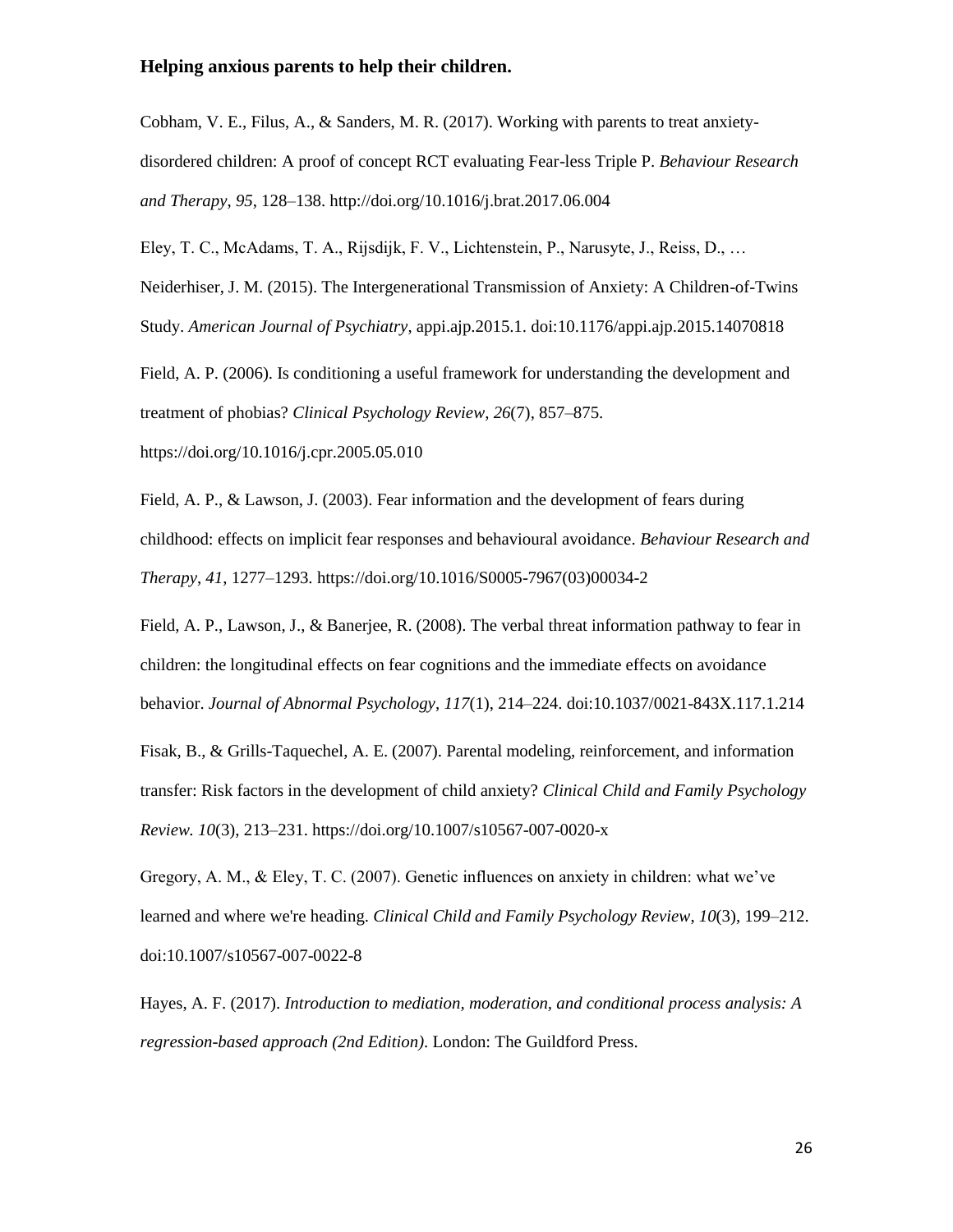Cobham, V. E., Filus, A., & Sanders, M. R. (2017). Working with parents to treat anxietydisordered children: A proof of concept RCT evaluating Fear-less Triple P. *Behaviour Research and Therapy*, *95*, 128–138. http://doi.org/10.1016/j.brat.2017.06.004

Eley, T. C., McAdams, T. A., Rijsdijk, F. V., Lichtenstein, P., Narusyte, J., Reiss, D., … Neiderhiser, J. M. (2015). The Intergenerational Transmission of Anxiety: A Children-of-Twins Study. *American Journal of Psychiatry*, appi.ajp.2015.1. doi:10.1176/appi.ajp.2015.14070818

Field, A. P. (2006). Is conditioning a useful framework for understanding the development and treatment of phobias? *Clinical Psychology Review*, *26*(7), 857–875.

https://doi.org/10.1016/j.cpr.2005.05.010

Field, A. P., & Lawson, J. (2003). Fear information and the development of fears during childhood: effects on implicit fear responses and behavioural avoidance. *Behaviour Research and Therapy*, *41*, 1277–1293. https://doi.org/10.1016/S0005-7967(03)00034-2

Field, A. P., Lawson, J., & Banerjee, R. (2008). The verbal threat information pathway to fear in children: the longitudinal effects on fear cognitions and the immediate effects on avoidance behavior. *Journal of Abnormal Psychology*, *117*(1), 214–224. doi:10.1037/0021-843X.117.1.214

Fisak, B., & Grills-Taquechel, A. E. (2007). Parental modeling, reinforcement, and information transfer: Risk factors in the development of child anxiety? *Clinical Child and Family Psychology Review. 10*(3), 213–231. https://doi.org/10.1007/s10567-007-0020-x

Gregory, A. M., & Eley, T. C. (2007). Genetic influences on anxiety in children: what we've learned and where we're heading. *Clinical Child and Family Psychology Review*, *10*(3), 199–212. doi:10.1007/s10567-007-0022-8

Hayes, A. F. (2017). *Introduction to mediation, moderation, and conditional process analysis: A regression-based approach (2nd Edition)*. London: The Guildford Press.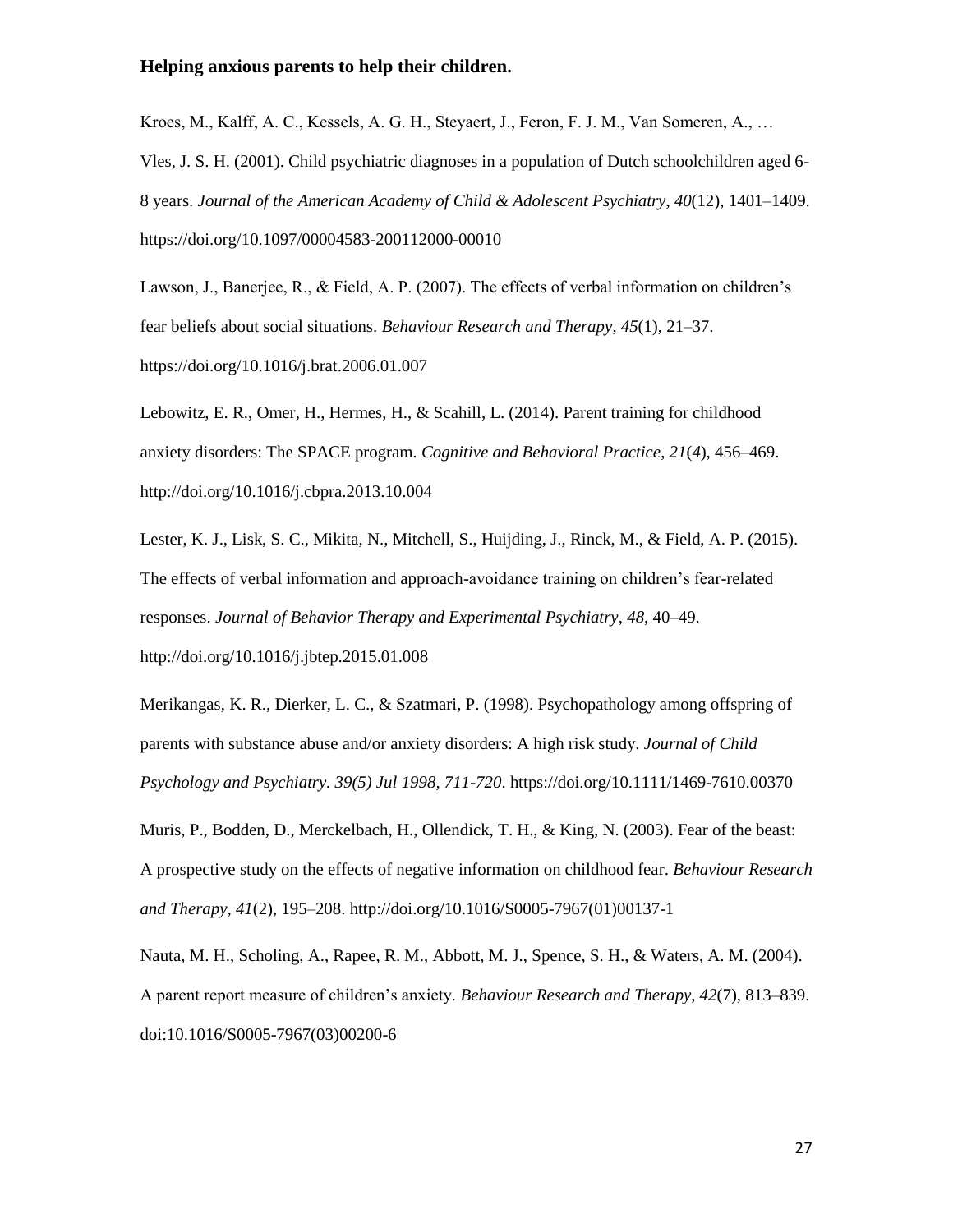Kroes, M., Kalff, A. C., Kessels, A. G. H., Steyaert, J., Feron, F. J. M., Van Someren, A., … Vles, J. S. H. (2001). Child psychiatric diagnoses in a population of Dutch schoolchildren aged 6- 8 years. *Journal of the American Academy of Child & Adolescent Psychiatry*, *40*(12), 1401–1409. https://doi.org/10.1097/00004583-200112000-00010

Lawson, J., Banerjee, R., & Field, A. P. (2007). The effects of verbal information on children's fear beliefs about social situations. *Behaviour Research and Therapy*, *45*(1), 21–37. https://doi.org/10.1016/j.brat.2006.01.007

Lebowitz, E. R., Omer, H., Hermes, H., & Scahill, L. (2014). Parent training for childhood anxiety disorders: The SPACE program. *Cognitive and Behavioral Practice*, *21*(*4*), 456–469. http://doi.org/10.1016/j.cbpra.2013.10.004

Lester, K. J., Lisk, S. C., Mikita, N., Mitchell, S., Huijding, J., Rinck, M., & Field, A. P. (2015). The effects of verbal information and approach-avoidance training on children's fear-related responses. *Journal of Behavior Therapy and Experimental Psychiatry*, *48*, 40–49. http://doi.org/10.1016/j.jbtep.2015.01.008

Merikangas, K. R., Dierker, L. C., & Szatmari, P. (1998). Psychopathology among offspring of parents with substance abuse and/or anxiety disorders: A high risk study. *Journal of Child Psychology and Psychiatry. 39(5) Jul 1998, 711-720*. https://doi.org/10.1111/1469-7610.00370

Muris, P., Bodden, D., Merckelbach, H., Ollendick, T. H., & King, N. (2003). Fear of the beast: A prospective study on the effects of negative information on childhood fear. *Behaviour Research and Therapy*, *41*(2), 195–208. http://doi.org/10.1016/S0005-7967(01)00137-1

Nauta, M. H., Scholing, A., Rapee, R. M., Abbott, M. J., Spence, S. H., & Waters, A. M. (2004). A parent report measure of children's anxiety. *Behaviour Research and Therapy*, *42*(7), 813–839. doi:10.1016/S0005-7967(03)00200-6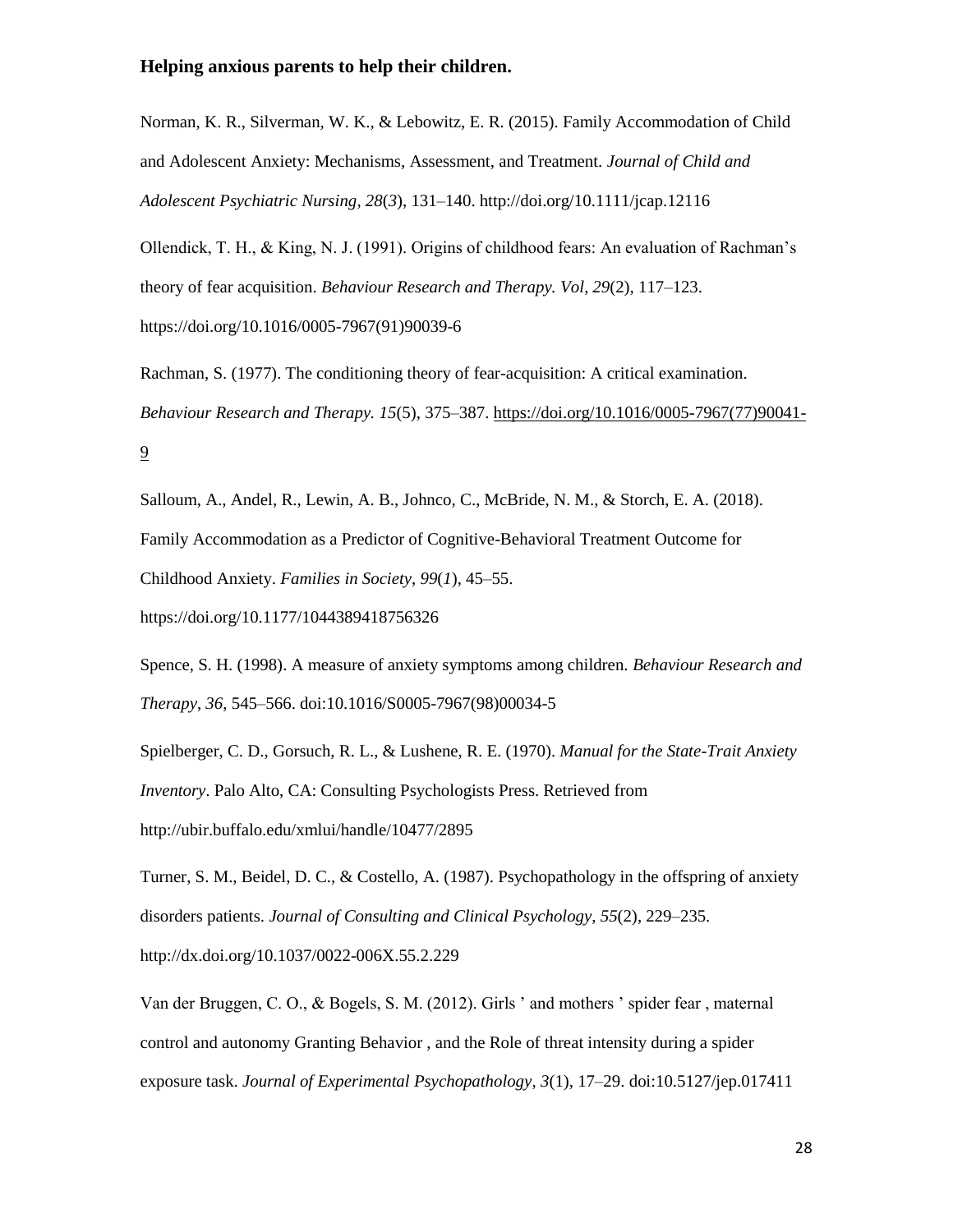Norman, K. R., Silverman, W. K., & Lebowitz, E. R. (2015). Family Accommodation of Child and Adolescent Anxiety: Mechanisms, Assessment, and Treatment. *Journal of Child and Adolescent Psychiatric Nursing*, *28*(*3*), 131–140. http://doi.org/10.1111/jcap.12116

Ollendick, T. H., & King, N. J. (1991). Origins of childhood fears: An evaluation of Rachman's theory of fear acquisition. *Behaviour Research and Therapy. Vol*, *29*(2), 117–123. https://doi.org/10.1016/0005-7967(91)90039-6

Rachman, S. (1977). The conditioning theory of fear-acquisition: A critical examination. *Behaviour Research and Therapy. 15*(5), 375–387. [https://doi.org/10.1016/0005-7967\(77\)90041-](https://doi.org/10.1016/0005-7967(77)90041-9) [9](https://doi.org/10.1016/0005-7967(77)90041-9)

Salloum, A., Andel, R., Lewin, A. B., Johnco, C., McBride, N. M., & Storch, E. A. (2018). Family Accommodation as a Predictor of Cognitive-Behavioral Treatment Outcome for Childhood Anxiety. *Families in Society*, *99*(*1*), 45–55.

https://doi.org/10.1177/1044389418756326

Spence, S. H. (1998). A measure of anxiety symptoms among children. *Behaviour Research and Therapy*, *36*, 545–566. doi:10.1016/S0005-7967(98)00034-5

Spielberger, C. D., Gorsuch, R. L., & Lushene, R. E. (1970). *Manual for the State-Trait Anxiety Inventory*. Palo Alto, CA: Consulting Psychologists Press. Retrieved from http://ubir.buffalo.edu/xmlui/handle/10477/2895

Turner, S. M., Beidel, D. C., & Costello, A. (1987). Psychopathology in the offspring of anxiety disorders patients. *Journal of Consulting and Clinical Psychology*, *55*(2), 229–235. http://dx.doi.org/10.1037/0022-006X.55.2.229

Van der Bruggen, C. O., & Bogels, S. M. (2012). Girls ' and mothers ' spider fear , maternal control and autonomy Granting Behavior , and the Role of threat intensity during a spider exposure task. *Journal of Experimental Psychopathology*, *3*(1), 17–29. doi:10.5127/jep.017411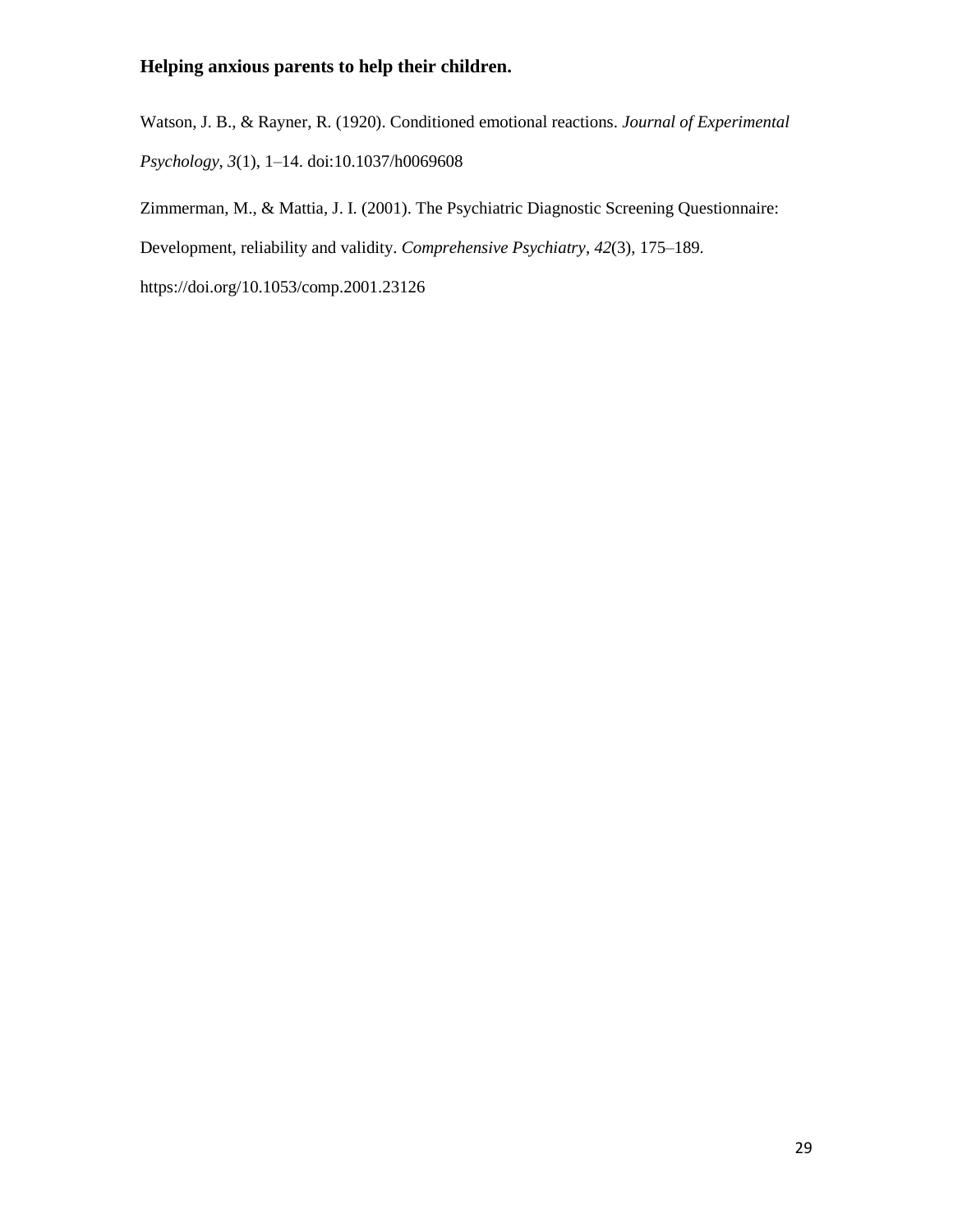Watson, J. B., & Rayner, R. (1920). Conditioned emotional reactions. *Journal of Experimental Psychology*, *3*(1), 1–14. doi:10.1037/h0069608

Zimmerman, M., & Mattia, J. I. (2001). The Psychiatric Diagnostic Screening Questionnaire:

Development, reliability and validity. *Comprehensive Psychiatry*, *42*(3), 175–189.

https://doi.org/10.1053/comp.2001.23126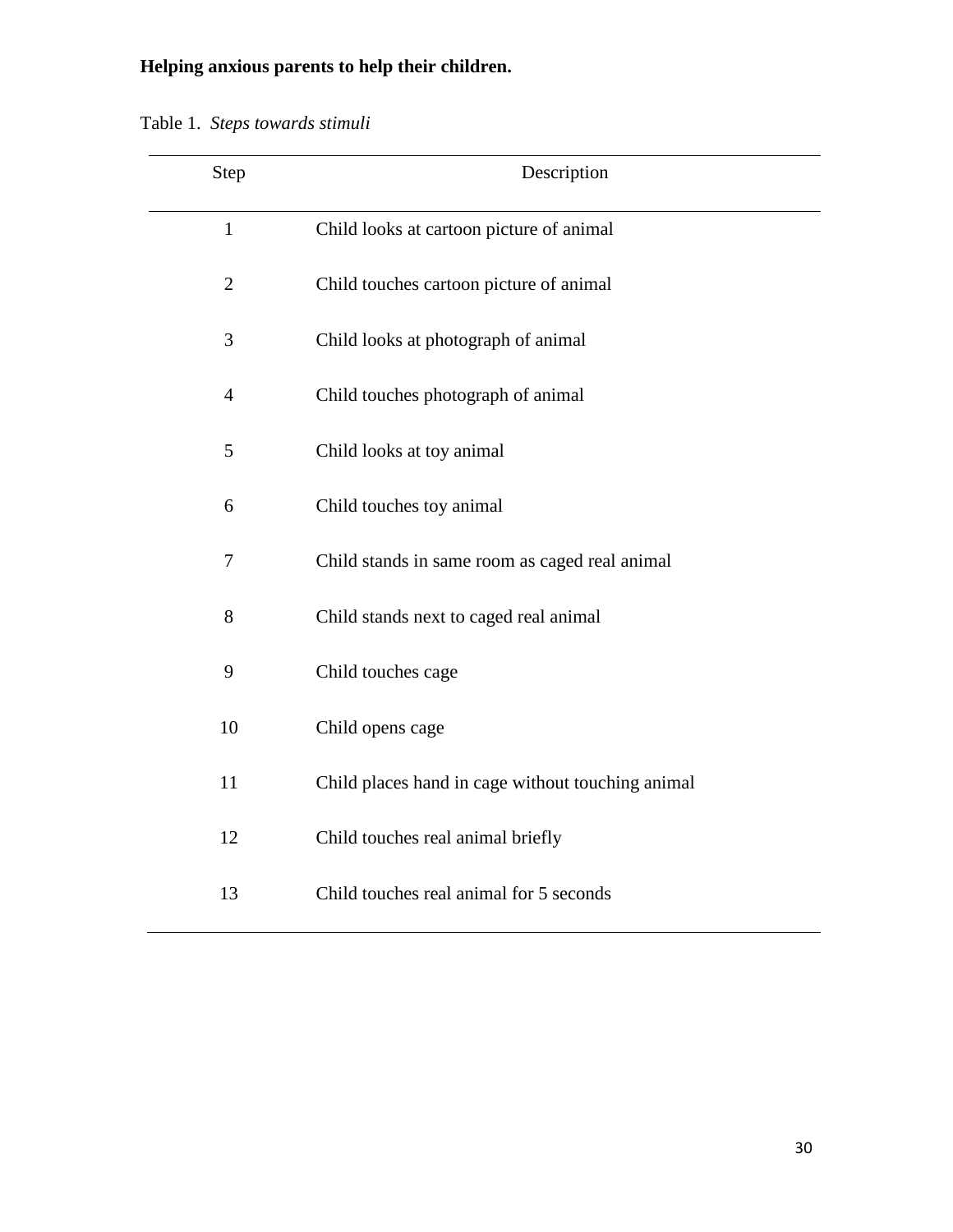| Step           | Description                                       |  |  |  |  |
|----------------|---------------------------------------------------|--|--|--|--|
| $\mathbf{1}$   | Child looks at cartoon picture of animal          |  |  |  |  |
| $\overline{2}$ | Child touches cartoon picture of animal           |  |  |  |  |
| 3              | Child looks at photograph of animal               |  |  |  |  |
| $\overline{4}$ | Child touches photograph of animal                |  |  |  |  |
| 5              | Child looks at toy animal                         |  |  |  |  |
| 6              | Child touches toy animal                          |  |  |  |  |
| $\overline{7}$ | Child stands in same room as caged real animal    |  |  |  |  |
| 8              | Child stands next to caged real animal            |  |  |  |  |
| 9              | Child touches cage                                |  |  |  |  |
| 10             | Child opens cage                                  |  |  |  |  |
| 11             | Child places hand in cage without touching animal |  |  |  |  |
| 12             | Child touches real animal briefly                 |  |  |  |  |
| 13             | Child touches real animal for 5 seconds           |  |  |  |  |

Table 1. *Steps towards stimuli*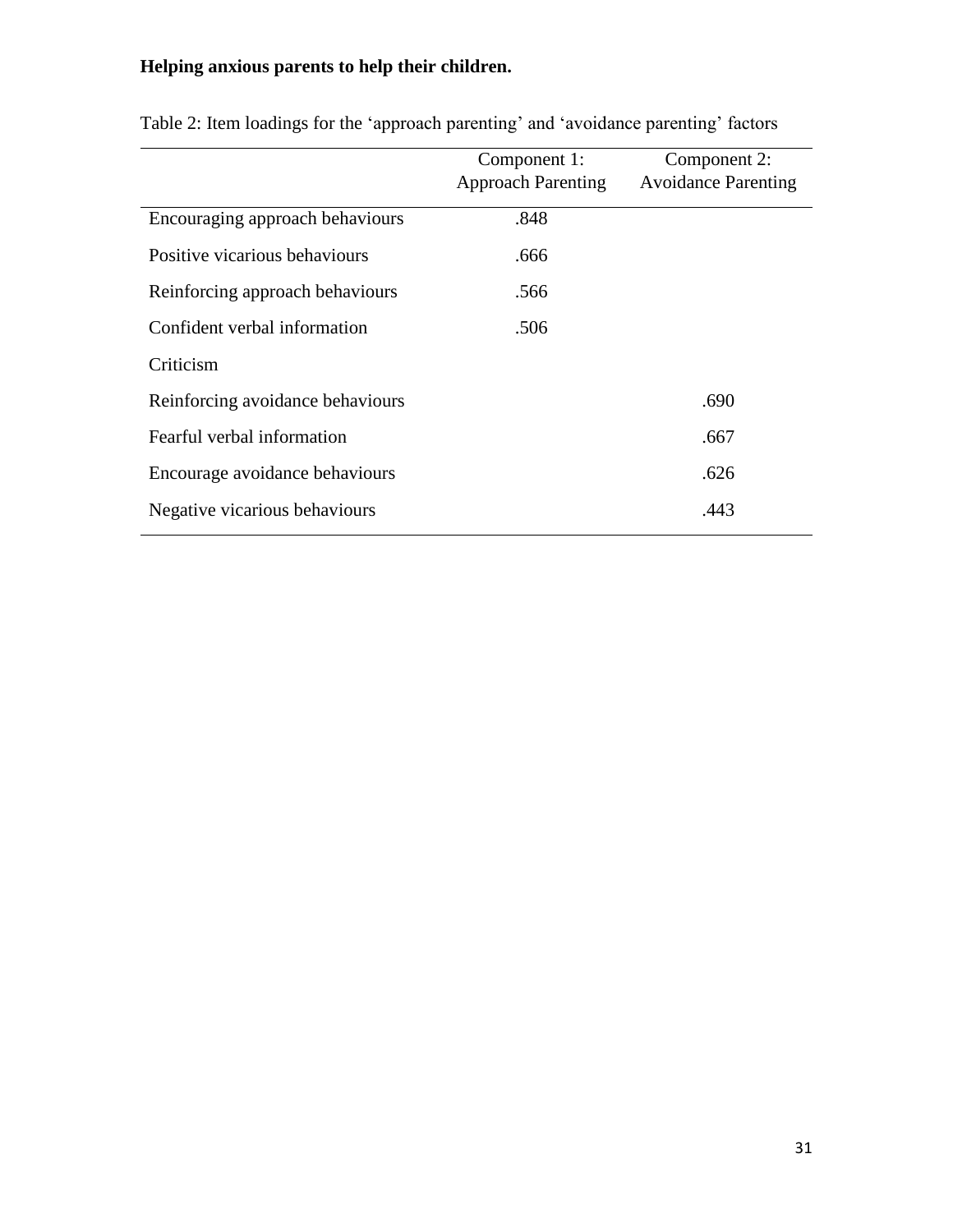|                                  | Component 1:              | Component 2:               |  |
|----------------------------------|---------------------------|----------------------------|--|
|                                  | <b>Approach Parenting</b> | <b>Avoidance Parenting</b> |  |
| Encouraging approach behaviours  | .848                      |                            |  |
| Positive vicarious behaviours    | .666                      |                            |  |
| Reinforcing approach behaviours  | .566                      |                            |  |
| Confident verbal information     | .506                      |                            |  |
| Criticism                        |                           |                            |  |
| Reinforcing avoidance behaviours |                           | .690                       |  |
| Fearful verbal information       |                           | .667                       |  |
| Encourage avoidance behaviours   |                           | .626                       |  |
| Negative vicarious behaviours    |                           | .443                       |  |

| Table 2: Item loadings for the 'approach parenting' and 'avoidance parenting' factors |  |  |  |
|---------------------------------------------------------------------------------------|--|--|--|
|---------------------------------------------------------------------------------------|--|--|--|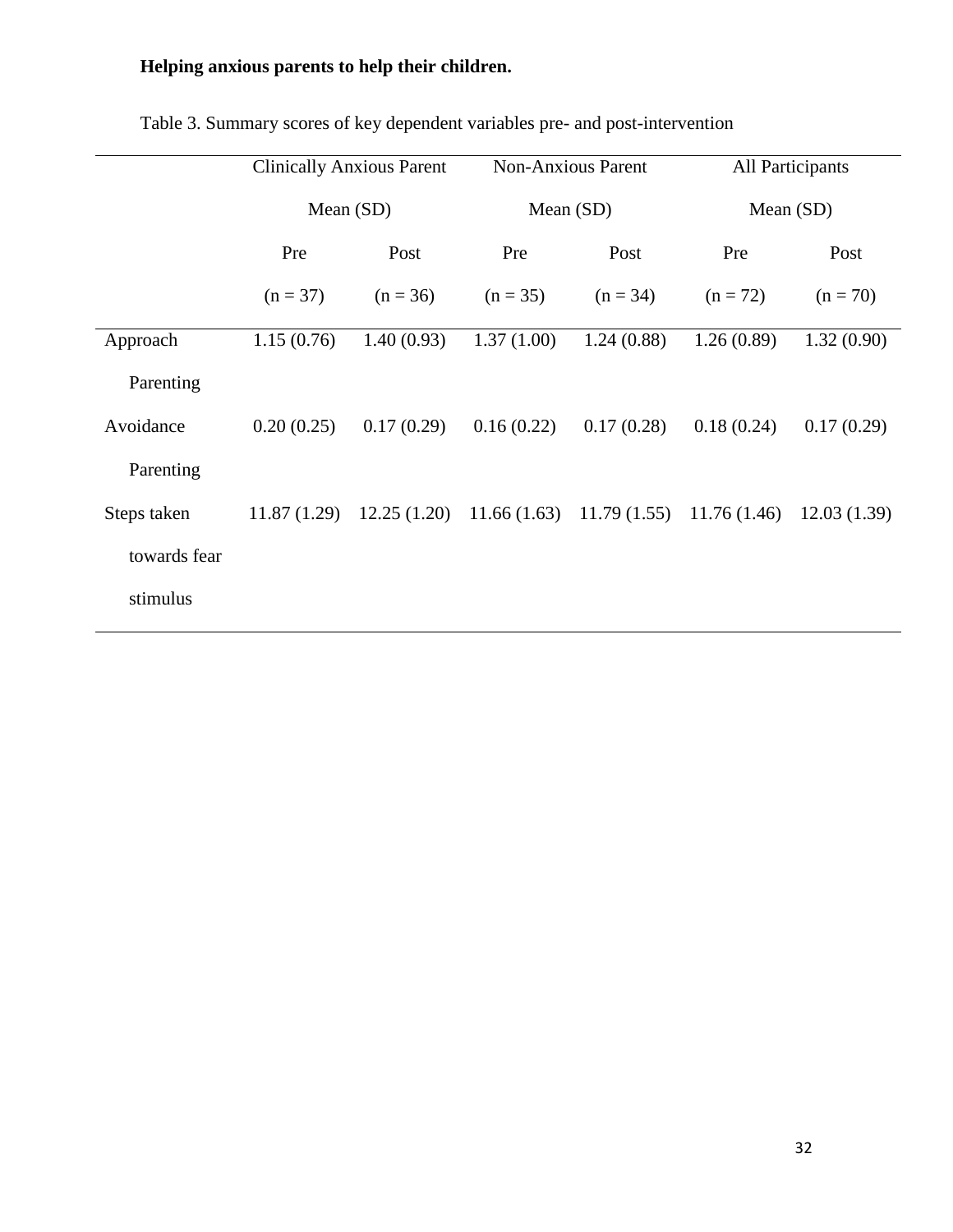|              | <b>Clinically Anxious Parent</b> |            | <b>Non-Anxious Parent</b> |                                                         | <b>All Participants</b> |             |
|--------------|----------------------------------|------------|---------------------------|---------------------------------------------------------|-------------------------|-------------|
|              | Mean $(SD)$                      |            | Mean $(SD)$               |                                                         | Mean $(SD)$             |             |
|              | Pre                              | Post       | Pre                       | Post                                                    | Pre                     | Post        |
|              | $(n = 37)$                       | $(n = 36)$ | $(n = 35)$                | $(n = 34)$                                              | $(n = 72)$              | $(n = 70)$  |
| Approach     | 1.15(0.76)                       | 1.40(0.93) | 1.37(1.00)                | 1.24(0.88)                                              | 1.26(0.89)              | 1.32(0.90)  |
| Parenting    |                                  |            |                           |                                                         |                         |             |
| Avoidance    | 0.20(0.25)                       | 0.17(0.29) | 0.16(0.22)                | 0.17(0.28)                                              | 0.18(0.24)              | 0.17(0.29)  |
| Parenting    |                                  |            |                           |                                                         |                         |             |
| Steps taken  | 11.87(1.29)                      |            |                           | $12.25(1.20)$ $11.66(1.63)$ $11.79(1.55)$ $11.76(1.46)$ |                         | 12.03(1.39) |
| towards fear |                                  |            |                           |                                                         |                         |             |
| stimulus     |                                  |            |                           |                                                         |                         |             |

Table 3. Summary scores of key dependent variables pre- and post-intervention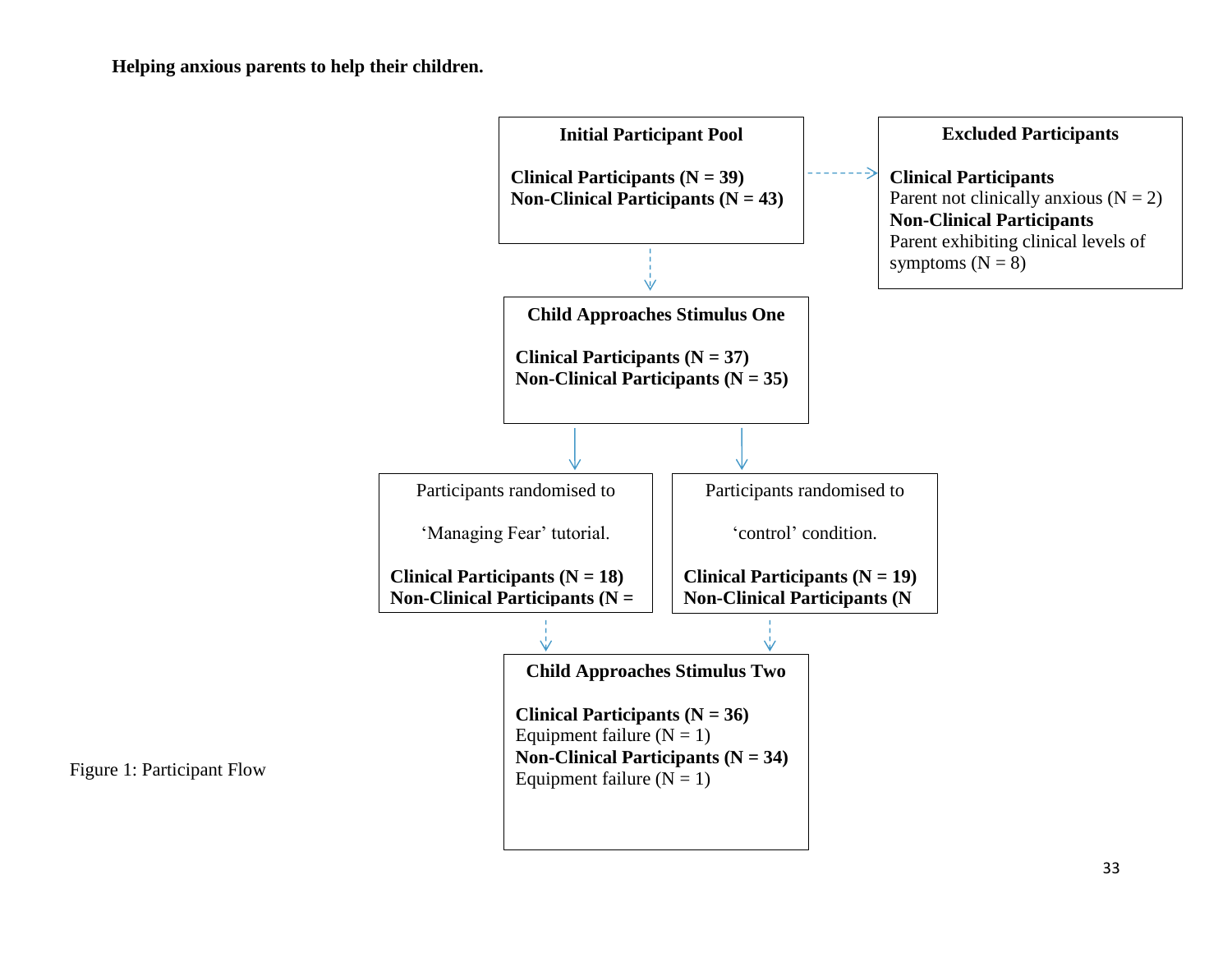

Figure 1: Participant Flow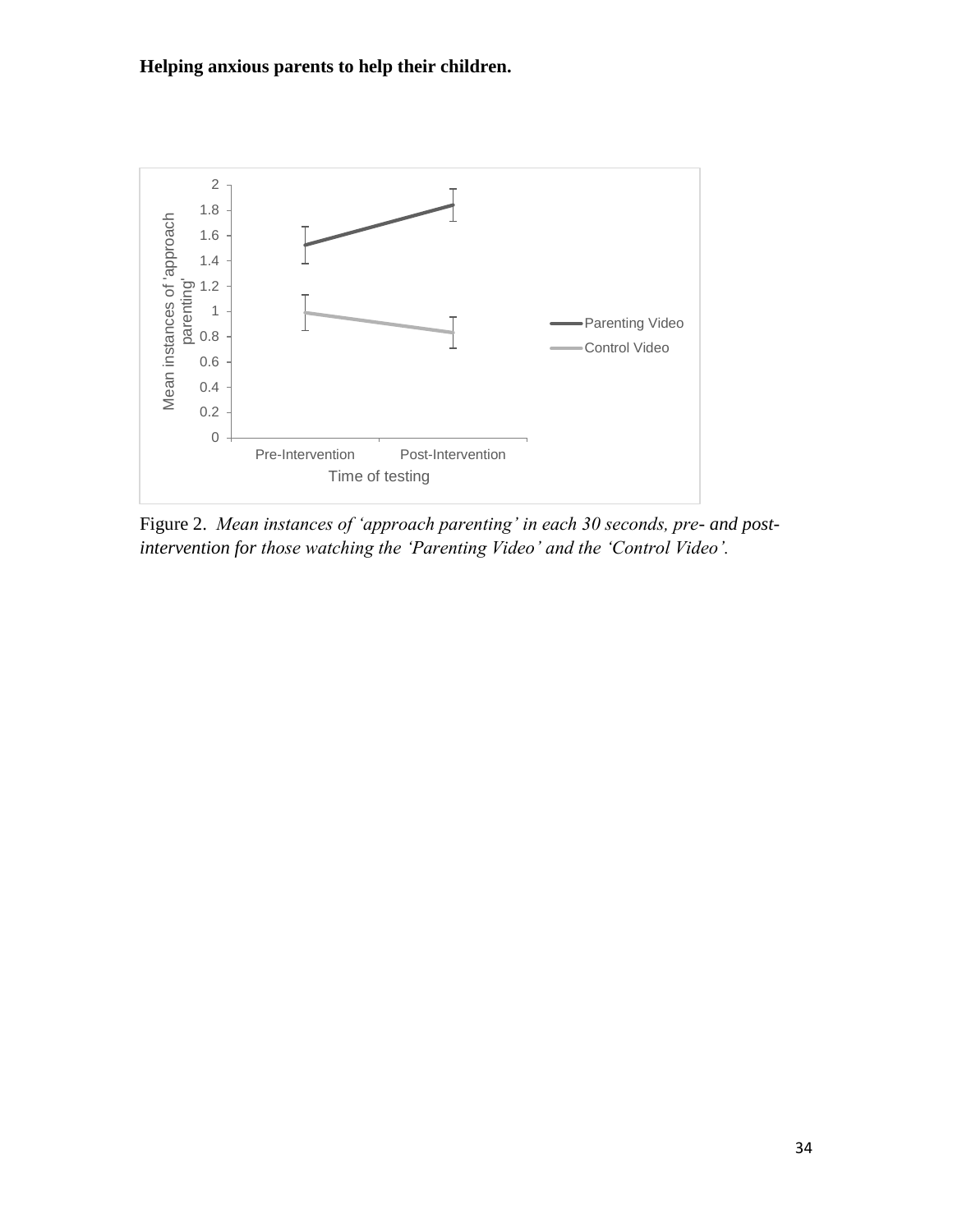

Figure 2. *Mean instances of 'approach parenting' in each 30 seconds, pre- and postintervention for those watching the 'Parenting Video' and the 'Control Video'.*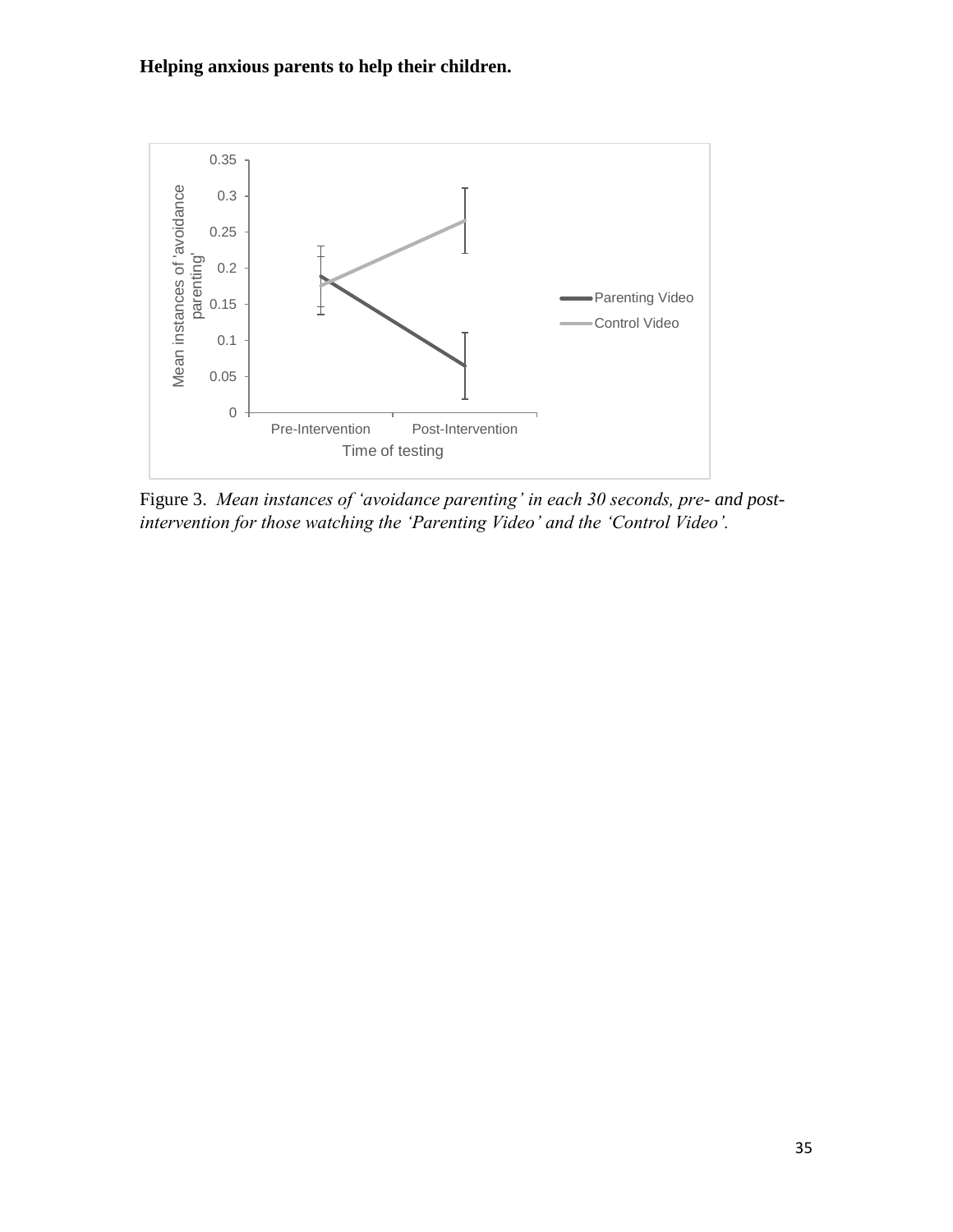

Figure 3. *Mean instances of 'avoidance parenting' in each 30 seconds, pre- and postintervention for those watching the 'Parenting Video' and the 'Control Video'.*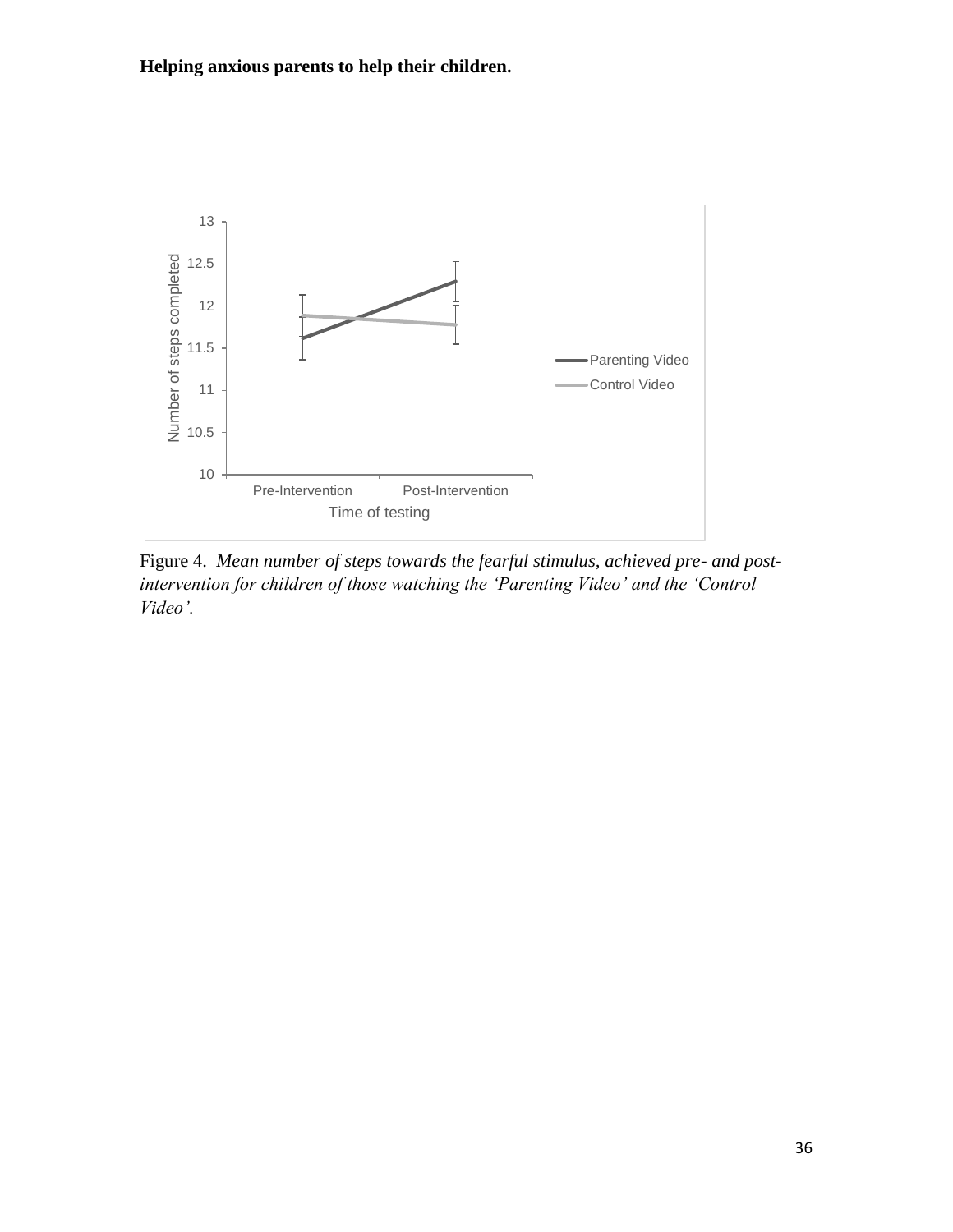

Figure 4. *Mean number of steps towards the fearful stimulus, achieved pre- and postintervention for children of those watching the 'Parenting Video' and the 'Control Video'.*